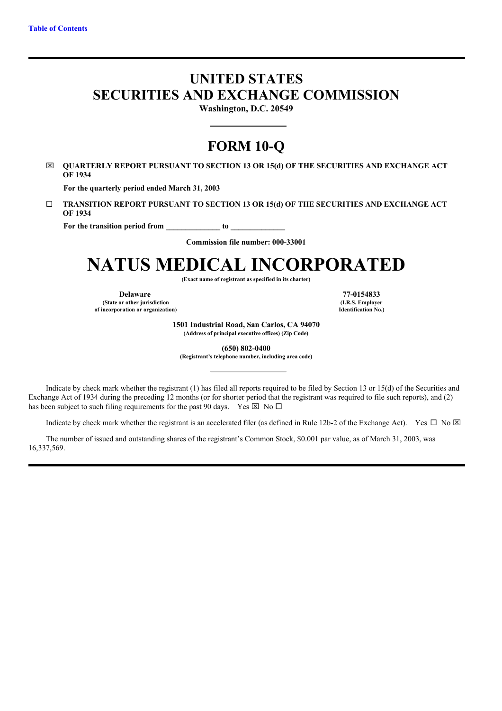# <span id="page-0-0"></span>**UNITED STATES SECURITIES AND EXCHANGE COMMISSION**

**Washington, D.C. 20549**

# **FORM 10-Q**

x **QUARTERLY REPORT PURSUANT TO SECTION 13 OR 15(d) OF THE SECURITIES AND EXCHANGE ACT OF 1934**

**For the quarterly period ended March 31, 2003**

¨ **TRANSITION REPORT PURSUANT TO SECTION 13 OR 15(d) OF THE SECURITIES AND EXCHANGE ACT OF 1934**

**For the transition period from \_\_\_\_\_\_\_\_\_\_\_\_\_\_ to \_\_\_\_\_\_\_\_\_\_\_\_\_\_**

**Commission file number: 000-33001**

# **NATUS MEDICAL INCORPORATED**

**(Exact name of registrant as specified in its charter)**

**Delaware 77-0154833 (State or other jurisdiction of incorporation or organization)**

**(I.R.S. Employer Identification No.)**

**1501 Industrial Road, San Carlos, CA 94070 (Address of principal executive offices) (Zip Code)**

**(650) 802-0400 (Registrant's telephone number, including area code)**

Indicate by check mark whether the registrant (1) has filed all reports required to be filed by Section 13 or 15(d) of the Securities and Exchange Act of 1934 during the preceding 12 months (or for shorter period that the registrant was required to file such reports), and (2) has been subject to such filing requirements for the past 90 days. Yes  $\boxtimes$  No  $\Box$ 

Indicate by check mark whether the registrant is an accelerated filer (as defined in Rule 12b-2 of the Exchange Act). Yes  $\Box$  No  $\boxtimes$ 

The number of issued and outstanding shares of the registrant's Common Stock, \$0.001 par value, as of March 31, 2003, was 16,337,569.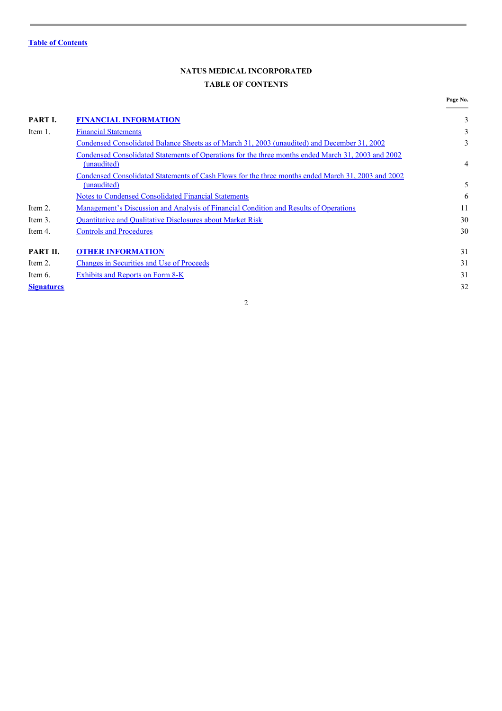# **NATUS MEDICAL INCORPORATED TABLE OF CONTENTS**

|                   |                                                                                                                   | Page No. |
|-------------------|-------------------------------------------------------------------------------------------------------------------|----------|
| PART I.           | <b>FINANCIAL INFORMATION</b>                                                                                      | 3        |
| Item 1.           | <b>Financial Statements</b>                                                                                       | 3        |
|                   | Condensed Consolidated Balance Sheets as of March 31, 2003 (unaudited) and December 31, 2002                      | 3        |
|                   | Condensed Consolidated Statements of Operations for the three months ended March 31, 2003 and 2002<br>(unaudited) | 4        |
|                   | Condensed Consolidated Statements of Cash Flows for the three months ended March 31, 2003 and 2002<br>(unaudited) | 5        |
|                   | <b>Notes to Condensed Consolidated Financial Statements</b>                                                       | 6        |
| Item 2.           | Management's Discussion and Analysis of Financial Condition and Results of Operations                             | 11       |
| Item 3.           | Quantitative and Qualitative Disclosures about Market Risk                                                        | 30       |
| Item 4.           | <b>Controls and Procedures</b>                                                                                    | 30       |
| PART II.          | <b>OTHER INFORMATION</b>                                                                                          | 31       |
| Item 2.           | <b>Changes in Securities and Use of Proceeds</b>                                                                  | 31       |
| Item 6.           | <b>Exhibits and Reports on Form 8-K</b>                                                                           | 31       |
| <b>Signatures</b> |                                                                                                                   | 32       |
|                   |                                                                                                                   |          |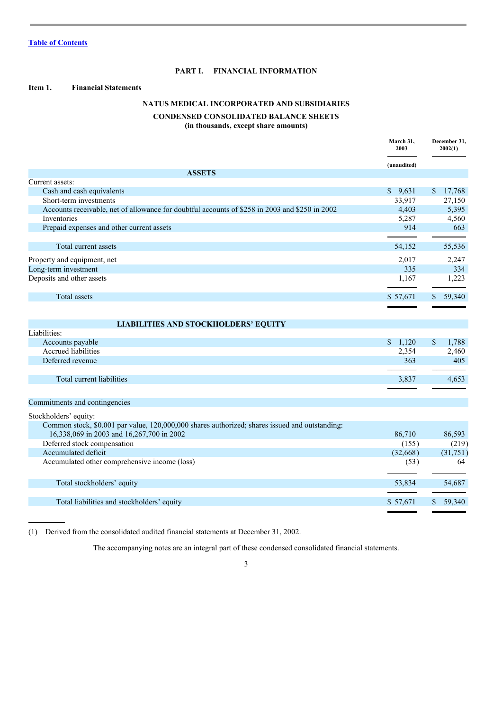# <span id="page-2-0"></span>**PART I. FINANCIAL INFORMATION**

## **Item 1. Financial Statements**

# **NATUS MEDICAL INCORPORATED AND SUBSIDIARIES**

# **CONDENSED CONSOLIDATED BALANCE SHEETS**

**(in thousands, except share amounts)**

|                                                                                                | March 31,<br>2003 | December 31,<br>2002(1) |  |
|------------------------------------------------------------------------------------------------|-------------------|-------------------------|--|
|                                                                                                | (unaudited)       |                         |  |
| <b>ASSETS</b>                                                                                  |                   |                         |  |
| Current assets:                                                                                |                   |                         |  |
| Cash and cash equivalents                                                                      | \$9,631           | \$17,768                |  |
| Short-term investments                                                                         | 33,917            | 27,150                  |  |
| Accounts receivable, net of allowance for doubtful accounts of \$258 in 2003 and \$250 in 2002 | 4,403             | 5,395                   |  |
| Inventories                                                                                    | 5,287             | 4,560                   |  |
| Prepaid expenses and other current assets                                                      | 914               | 663                     |  |
| Total current assets                                                                           | 54,152            | 55,536                  |  |
| Property and equipment, net                                                                    | 2,017             | 2,247                   |  |
| Long-term investment                                                                           | 335               | 334                     |  |
| Deposits and other assets                                                                      | 1,167             | 1,223                   |  |
| Total assets                                                                                   | \$57,671          | \$59,340                |  |
| <b>LIABILITIES AND STOCKHOLDERS' EQUITY</b>                                                    |                   |                         |  |
| Liabilities:                                                                                   |                   |                         |  |
| Accounts payable                                                                               | \$1,120           | $\mathbf S$<br>1,788    |  |
| Accrued liabilities                                                                            | 2,354             | 2,460                   |  |
| Deferred revenue                                                                               | 363               | 405                     |  |
| Total current liabilities                                                                      | 3,837             | 4,653                   |  |
| Commitments and contingencies                                                                  |                   |                         |  |
|                                                                                                |                   |                         |  |
| Stockholders' equity:                                                                          |                   |                         |  |
| Common stock, \$0.001 par value, 120,000,000 shares authorized; shares issued and outstanding: |                   |                         |  |
| 16,338,069 in 2003 and 16,267,700 in 2002                                                      | 86,710            | 86,593                  |  |
| Deferred stock compensation                                                                    | (155)             | (219)                   |  |
| Accumulated deficit                                                                            | (32, 668)         | (31,751)                |  |
| Accumulated other comprehensive income (loss)                                                  | (53)              | 64                      |  |
| Total stockholders' equity                                                                     | 53,834            | 54,687                  |  |
| Total liabilities and stockholders' equity                                                     | \$57,671          | $\mathbb{S}$<br>59,340  |  |
|                                                                                                |                   |                         |  |

(1) Derived from the consolidated audited financial statements at December 31, 2002.

The accompanying notes are an integral part of these condensed consolidated financial statements.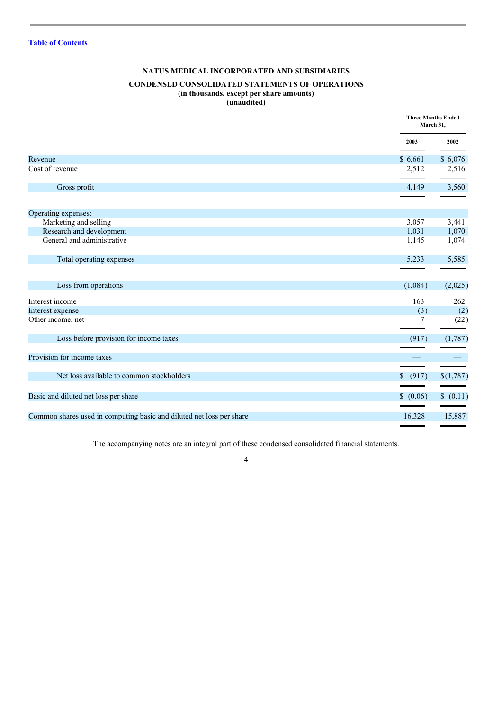# **NATUS MEDICAL INCORPORATED AND SUBSIDIARIES**

# **CONDENSED CONSOLIDATED STATEMENTS OF OPERATIONS (in thousands, except per share amounts)**

**(unaudited)**

|                                                                      |             | <b>Three Months Ended</b><br>March 31, |  |
|----------------------------------------------------------------------|-------------|----------------------------------------|--|
|                                                                      | 2003        | 2002                                   |  |
| Revenue                                                              | \$6,661     | \$6,076                                |  |
| Cost of revenue                                                      | 2,512       | 2,516                                  |  |
| Gross profit                                                         | 4,149       | 3,560                                  |  |
| Operating expenses:                                                  |             |                                        |  |
| Marketing and selling                                                | 3,057       | 3,441                                  |  |
| Research and development                                             | 1,031       | 1,070                                  |  |
| General and administrative                                           | 1,145       | 1,074                                  |  |
| Total operating expenses                                             | 5,233       | 5,585                                  |  |
|                                                                      |             |                                        |  |
| Loss from operations                                                 | (1,084)     | (2,025)                                |  |
| Interest income                                                      | 163         | 262                                    |  |
| Interest expense                                                     | (3)         | (2)                                    |  |
| Other income, net                                                    | 7           | (22)                                   |  |
| Loss before provision for income taxes                               | (917)       | (1,787)                                |  |
| Provision for income taxes                                           |             |                                        |  |
|                                                                      |             |                                        |  |
| Net loss available to common stockholders                            | (917)<br>\$ | \$(1,787)                              |  |
| Basic and diluted net loss per share                                 | \$ (0.06)   | \$ (0.11)                              |  |
| Common shares used in computing basic and diluted net loss per share | 16,328      | 15,887                                 |  |

The accompanying notes are an integral part of these condensed consolidated financial statements.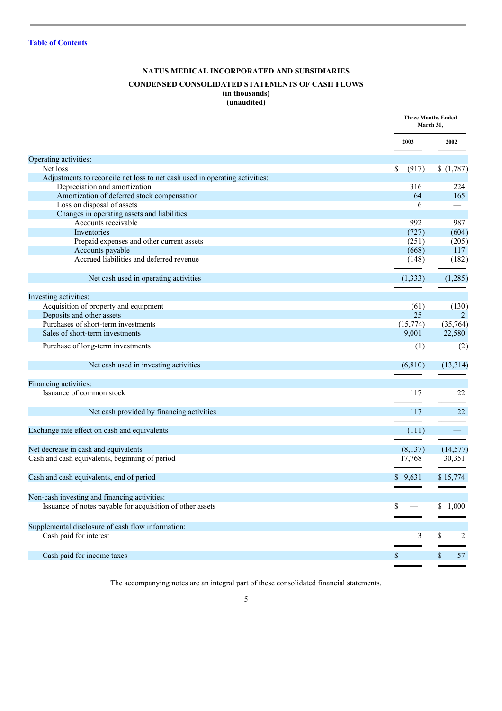# **NATUS MEDICAL INCORPORATED AND SUBSIDIARIES CONDENSED CONSOLIDATED STATEMENTS OF CASH FLOWS (in thousands) (unaudited)**

|                                                                             |             | <b>Three Months Ended</b><br>March 31, |
|-----------------------------------------------------------------------------|-------------|----------------------------------------|
|                                                                             | 2003        | 2002                                   |
| Operating activities:                                                       |             |                                        |
| Net loss                                                                    | \$<br>(917) | \$(1,787)                              |
| Adjustments to reconcile net loss to net cash used in operating activities: |             |                                        |
| Depreciation and amortization                                               | 316         | 224                                    |
| Amortization of deferred stock compensation                                 | 64          | 165                                    |
| Loss on disposal of assets                                                  | 6           |                                        |
| Changes in operating assets and liabilities:                                |             |                                        |
| Accounts receivable                                                         | 992         | 987                                    |
| Inventories                                                                 | (727)       | (604)                                  |
| Prepaid expenses and other current assets                                   | (251)       | (205)                                  |
| Accounts payable                                                            | (668)       | 117                                    |
| Accrued liabilities and deferred revenue                                    | (148)       | (182)                                  |
| Net cash used in operating activities                                       | (1, 333)    | (1,285)                                |
| Investing activities:                                                       |             |                                        |
| Acquisition of property and equipment                                       | (61)        | (130)                                  |
| Deposits and other assets                                                   | 25          | 2                                      |
| Purchases of short-term investments                                         | (15, 774)   | (35,764)                               |
| Sales of short-term investments                                             | 9,001       | 22,580                                 |
| Purchase of long-term investments                                           | (1)         | (2)                                    |
|                                                                             |             |                                        |
| Net cash used in investing activities                                       | (6, 810)    | (13, 314)                              |
| Financing activities:                                                       |             |                                        |
| Issuance of common stock                                                    | 117         | 22                                     |
| Net cash provided by financing activities                                   | 117         | 22                                     |
|                                                                             |             |                                        |
| Exchange rate effect on cash and equivalents                                | (111)       |                                        |
| Net decrease in cash and equivalents                                        | (8,137)     | (14, 577)                              |
| Cash and cash equivalents, beginning of period                              | 17,768      | 30,351                                 |
| Cash and cash equivalents, end of period                                    | \$9,631     | \$15,774                               |
|                                                                             |             |                                        |
| Non-cash investing and financing activities:                                |             |                                        |
| Issuance of notes payable for acquisition of other assets                   | S           | \$1,000                                |
| Supplemental disclosure of cash flow information:                           |             |                                        |
| Cash paid for interest                                                      | 3           | \$<br>2                                |
| Cash paid for income taxes                                                  | \$.         | \$<br>57                               |
|                                                                             |             |                                        |

The accompanying notes are an integral part of these consolidated financial statements.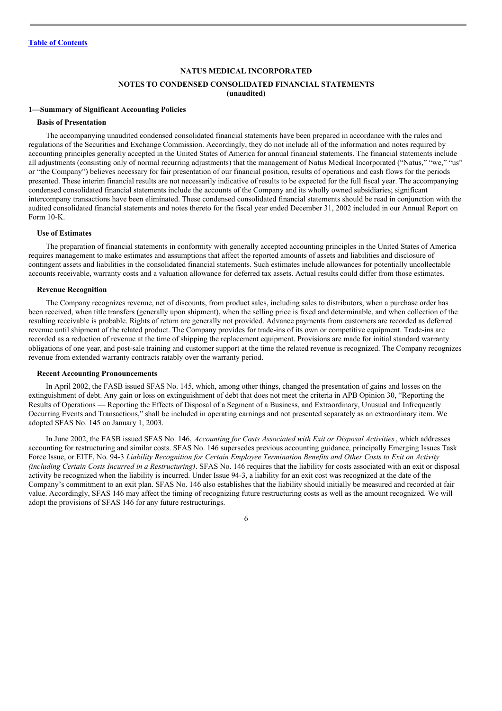# **NATUS MEDICAL INCORPORATED NOTES TO CONDENSED CONSOLIDATED FINANCIAL STATEMENTS (unaudited)**

#### **1—Summary of Significant Accounting Policies**

#### **Basis of Presentation**

The accompanying unaudited condensed consolidated financial statements have been prepared in accordance with the rules and regulations of the Securities and Exchange Commission. Accordingly, they do not include all of the information and notes required by accounting principles generally accepted in the United States of America for annual financial statements. The financial statements include all adjustments (consisting only of normal recurring adjustments) that the management of Natus Medical Incorporated ("Natus," "we," "us" or "the Company") believes necessary for fair presentation of our financial position, results of operations and cash flows for the periods presented. These interim financial results are not necessarily indicative of results to be expected for the full fiscal year. The accompanying condensed consolidated financial statements include the accounts of the Company and its wholly owned subsidiaries; significant intercompany transactions have been eliminated. These condensed consolidated financial statements should be read in conjunction with the audited consolidated financial statements and notes thereto for the fiscal year ended December 31, 2002 included in our Annual Report on Form 10-K.

## **Use of Estimates**

The preparation of financial statements in conformity with generally accepted accounting principles in the United States of America requires management to make estimates and assumptions that affect the reported amounts of assets and liabilities and disclosure of contingent assets and liabilities in the consolidated financial statements. Such estimates include allowances for potentially uncollectable accounts receivable, warranty costs and a valuation allowance for deferred tax assets. Actual results could differ from those estimates.

#### **Revenue Recognition**

The Company recognizes revenue, net of discounts, from product sales, including sales to distributors, when a purchase order has been received, when title transfers (generally upon shipment), when the selling price is fixed and determinable, and when collection of the resulting receivable is probable. Rights of return are generally not provided. Advance payments from customers are recorded as deferred revenue until shipment of the related product. The Company provides for trade-ins of its own or competitive equipment. Trade-ins are recorded as a reduction of revenue at the time of shipping the replacement equipment. Provisions are made for initial standard warranty obligations of one year, and post-sale training and customer support at the time the related revenue is recognized. The Company recognizes revenue from extended warranty contracts ratably over the warranty period.

#### **Recent Accounting Pronouncements**

In April 2002, the FASB issued SFAS No. 145, which, among other things, changed the presentation of gains and losses on the extinguishment of debt. Any gain or loss on extinguishment of debt that does not meet the criteria in APB Opinion 30, "Reporting the Results of Operations — Reporting the Effects of Disposal of a Segment of a Business, and Extraordinary, Unusual and Infrequently Occurring Events and Transactions," shall be included in operating earnings and not presented separately as an extraordinary item. We adopted SFAS No. 145 on January 1, 2003.

In June 2002, the FASB issued SFAS No. 146, *Accounting for Costs Associated with Exit or Disposal Activities*, which addresses accounting for restructuring and similar costs. SFAS No. 146 supersedes previous accounting guidance, principally Emerging Issues Task Force Issue, or EITF, No. 94-3 Liability Recognition for Certain Employee Termination Benefits and Other Costs to Exit on Activity *(including Certain Costs Incurred in a Restructuring)*. SFAS No. 146 requires that the liability for costs associated with an exit or disposal activity be recognized when the liability is incurred. Under Issue 94-3, a liability for an exit cost was recognized at the date of the Company's commitment to an exit plan. SFAS No. 146 also establishes that the liability should initially be measured and recorded at fair value. Accordingly, SFAS 146 may affect the timing of recognizing future restructuring costs as well as the amount recognized. We will adopt the provisions of SFAS 146 for any future restructurings.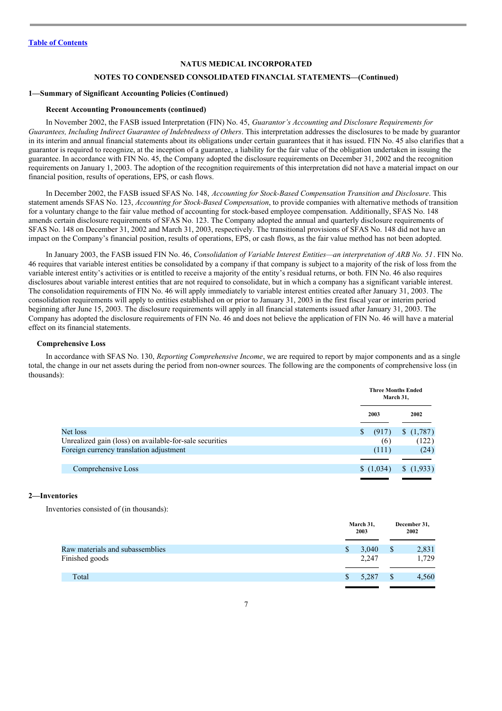#### **NOTES TO CONDENSED CONSOLIDATED FINANCIAL STATEMENTS—(Continued)**

#### **1—Summary of Significant Accounting Policies (Continued)**

#### **Recent Accounting Pronouncements (continued)**

In November 2002, the FASB issued Interpretation (FIN) No. 45, *Guarantor's Accounting and Disclosure Requirements for Guarantees, Including Indirect Guarantee of Indebtedness of Others*. This interpretation addresses the disclosures to be made by guarantor in its interim and annual financial statements about its obligations under certain guarantees that it has issued. FIN No. 45 also clarifies that a guarantor is required to recognize, at the inception of a guarantee, a liability for the fair value of the obligation undertaken in issuing the guarantee. In accordance with FIN No. 45, the Company adopted the disclosure requirements on December 31, 2002 and the recognition requirements on January 1, 2003. The adoption of the recognition requirements of this interpretation did not have a material impact on our financial position, results of operations, EPS, or cash flows.

In December 2002, the FASB issued SFAS No. 148, *Accounting for Stock-Based Compensation Transition and Disclosure*. This statement amends SFAS No. 123, *Accounting for Stock-Based Compensation*, to provide companies with alternative methods of transition for a voluntary change to the fair value method of accounting for stock-based employee compensation. Additionally, SFAS No. 148 amends certain disclosure requirements of SFAS No. 123. The Company adopted the annual and quarterly disclosure requirements of SFAS No. 148 on December 31, 2002 and March 31, 2003, respectively. The transitional provisions of SFAS No. 148 did not have an impact on the Company's financial position, results of operations, EPS, or cash flows, as the fair value method has not been adopted.

In January 2003, the FASB issued FIN No. 46, *Consolidation of Variable Interest Entities—an interpretation of ARB No. 51*. FIN No. 46 requires that variable interest entities be consolidated by a company if that company is subject to a majority of the risk of loss from the variable interest entity's activities or is entitled to receive a majority of the entity's residual returns, or both. FIN No. 46 also requires disclosures about variable interest entities that are not required to consolidate, but in which a company has a significant variable interest. The consolidation requirements of FIN No. 46 will apply immediately to variable interest entities created after January 31, 2003. The consolidation requirements will apply to entities established on or prior to January 31, 2003 in the first fiscal year or interim period beginning after June 15, 2003. The disclosure requirements will apply in all financial statements issued after January 31, 2003. The Company has adopted the disclosure requirements of FIN No. 46 and does not believe the application of FIN No. 46 will have a material effect on its financial statements.

#### **Comprehensive Loss**

In accordance with SFAS No. 130, *Reporting Comprehensive Income*, we are required to report by major components and as a single total, the change in our net assets during the period from non-owner sources. The following are the components of comprehensive loss (in thousands):

|                                                         |            | <b>Three Months Ended</b><br>March 31, |  |  |
|---------------------------------------------------------|------------|----------------------------------------|--|--|
|                                                         | 2003       | 2002                                   |  |  |
| Net loss                                                | (917)<br>S | \$(1,787)                              |  |  |
| Unrealized gain (loss) on available-for-sale securities | (6)        | (122)                                  |  |  |
| Foreign currency translation adjustment                 | (111)      | (24)                                   |  |  |
|                                                         |            |                                        |  |  |
| Comprehensive Loss                                      | \$(1,034)  | \$(1,933)                              |  |  |
|                                                         |            |                                        |  |  |

#### **2—Inventories**

Inventories consisted of (in thousands):

|                                                   | March 31,<br>2003 |                | December 31,<br>2002 |                |
|---------------------------------------------------|-------------------|----------------|----------------------|----------------|
| Raw materials and subassemblies<br>Finished goods |                   | 3,040<br>2,247 | S                    | 2,831<br>1,729 |
| Total                                             |                   | 5.287          | \$                   | 4,560          |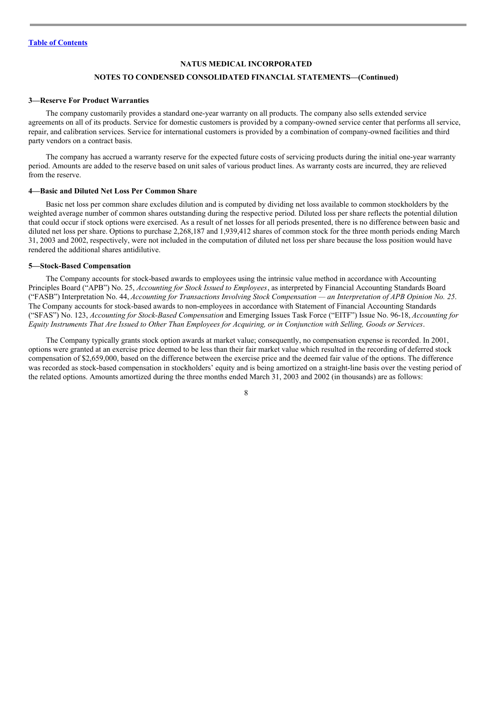## **NOTES TO CONDENSED CONSOLIDATED FINANCIAL STATEMENTS—(Continued)**

#### **3—Reserve For Product Warranties**

The company customarily provides a standard one-year warranty on all products. The company also sells extended service agreements on all of its products. Service for domestic customers is provided by a company-owned service center that performs all service, repair, and calibration services. Service for international customers is provided by a combination of company-owned facilities and third party vendors on a contract basis.

The company has accrued a warranty reserve for the expected future costs of servicing products during the initial one-year warranty period. Amounts are added to the reserve based on unit sales of various product lines. As warranty costs are incurred, they are relieved from the reserve.

#### **4—Basic and Diluted Net Loss Per Common Share**

Basic net loss per common share excludes dilution and is computed by dividing net loss available to common stockholders by the weighted average number of common shares outstanding during the respective period. Diluted loss per share reflects the potential dilution that could occur if stock options were exercised. As a result of net losses for all periods presented, there is no difference between basic and diluted net loss per share. Options to purchase 2,268,187 and 1,939,412 shares of common stock for the three month periods ending March 31, 2003 and 2002, respectively, were not included in the computation of diluted net loss per share because the loss position would have rendered the additional shares antidilutive.

#### **5—Stock-Based Compensation**

The Company accounts for stock-based awards to employees using the intrinsic value method in accordance with Accounting Principles Board ("APB") No. 25, *Accounting for Stock Issued to Employees*, as interpreted by Financial Accounting Standards Board ("FASB") Interpretation No. 44, Accounting for Transactions Involving Stock Compensation — an Interpretation of APB Opinion No. 25. The Company accounts for stock-based awards to non-employees in accordance with Statement of Financial Accounting Standards ("SFAS") No. 123, *Accounting for Stock-Based Compensation* and Emerging Issues Task Force ("EITF") Issue No. 96-18, *Accounting for* Equity Instruments That Are Issued to Other Than Employees for Acquiring, or in Conjunction with Selling, Goods or Services.

The Company typically grants stock option awards at market value; consequently, no compensation expense is recorded. In 2001, options were granted at an exercise price deemed to be less than their fair market value which resulted in the recording of deferred stock compensation of \$2,659,000, based on the difference between the exercise price and the deemed fair value of the options. The difference was recorded as stock-based compensation in stockholders' equity and is being amortized on a straight-line basis over the vesting period of the related options. Amounts amortized during the three months ended March 31, 2003 and 2002 (in thousands) are as follows: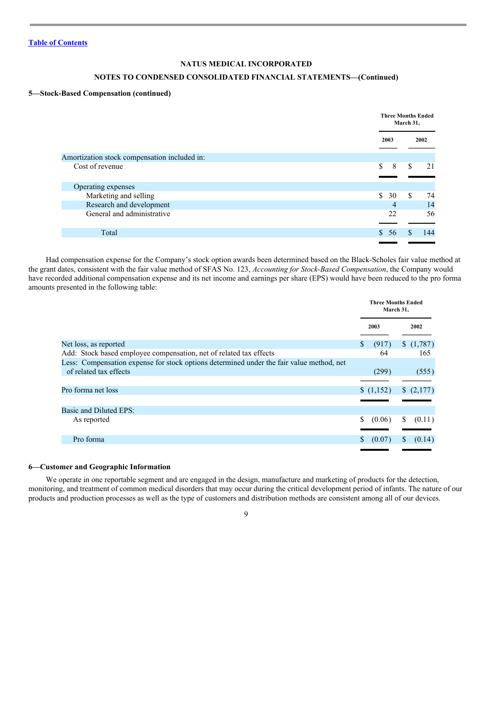# **NOTES TO CONDENSED CONSOLIDATED FINANCIAL STATEMENTS—(Continued)**

#### **5—Stock-Based Compensation (continued)**

|                                              |                    | <b>Three Months Ended</b><br>March 31, |  |
|----------------------------------------------|--------------------|----------------------------------------|--|
|                                              | 2003               | 2002                                   |  |
| Amortization stock compensation included in: |                    |                                        |  |
| Cost of revenue                              | \$<br>8            | S<br>21                                |  |
|                                              |                    |                                        |  |
| Operating expenses                           |                    |                                        |  |
| Marketing and selling                        | $\mathbb{S}$<br>30 | <sup>\$</sup><br>74                    |  |
| Research and development                     | 4                  | 14                                     |  |
| General and administrative                   | 22                 | 56                                     |  |
|                                              |                    |                                        |  |
| Total                                        | S.<br>-56          | 144                                    |  |
|                                              |                    |                                        |  |

Had compensation expense for the Company's stock option awards been determined based on the Black-Scholes fair value method at the grant dates, consistent with the fair value method of SFAS No. 123, *Accounting for Stock-Based Compensation*, the Company would have recorded additional compensation expense and its net income and earnings per share (EPS) would have been reduced to the pro forma amounts presented in the following table:

|                                                                                          | <b>Three Months Ended</b><br>March 31, |           |   |         |
|------------------------------------------------------------------------------------------|----------------------------------------|-----------|---|---------|
|                                                                                          |                                        | 2003      |   | 2002    |
| Net loss, as reported                                                                    | S                                      | (917)     |   | (1,787) |
| Add: Stock based employee compensation, net of related tax effects                       |                                        | 64        |   | 165     |
| Less: Compensation expense for stock options determined under the fair value method, net |                                        |           |   |         |
| of related tax effects                                                                   |                                        | (299)     |   | (555)   |
|                                                                                          |                                        |           |   |         |
| Pro forma net loss                                                                       |                                        | \$(1,152) |   | (2,177) |
|                                                                                          |                                        |           |   |         |
| Basic and Diluted EPS:                                                                   |                                        |           |   |         |
| As reported                                                                              | S                                      | (0.06)    | S | (0.11)  |
|                                                                                          |                                        |           |   |         |
| Pro forma                                                                                | S                                      | (0.07)    | S | (0.14)  |
|                                                                                          |                                        |           |   |         |

#### **6—Customer and Geographic Information**

We operate in one reportable segment and are engaged in the design, manufacture and marketing of products for the detection, monitoring, and treatment of common medical disorders that may occur during the critical development period of infants. The nature of our products and production processes as well as the type of customers and distribution methods are consistent among all of our devices.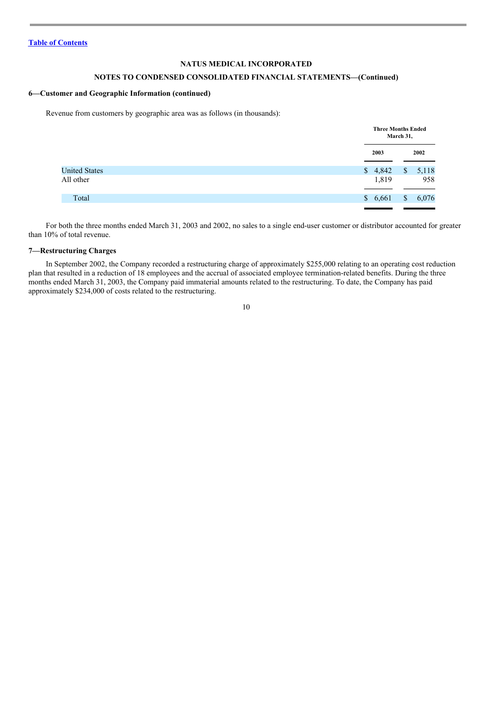# **NOTES TO CONDENSED CONSOLIDATED FINANCIAL STATEMENTS—(Continued)**

#### **6—Customer and Geographic Information (continued)**

Revenue from customers by geographic area was as follows (in thousands):

|                      |         | <b>Three Months Ended</b><br>March 31, |  |  |
|----------------------|---------|----------------------------------------|--|--|
|                      | 2003    | 2002                                   |  |  |
| <b>United States</b> | \$4,842 | 5,118<br>\$                            |  |  |
| All other            | 1,819   | 958                                    |  |  |
| Total                | \$6,661 | 6,076<br>\$                            |  |  |
|                      |         |                                        |  |  |

For both the three months ended March 31, 2003 and 2002, no sales to a single end-user customer or distributor accounted for greater than 10% of total revenue.

#### **7—Restructuring Charges**

In September 2002, the Company recorded a restructuring charge of approximately \$255,000 relating to an operating cost reduction plan that resulted in a reduction of 18 employees and the accrual of associated employee termination-related benefits. During the three months ended March 31, 2003, the Company paid immaterial amounts related to the restructuring. To date, the Company has paid approximately \$234,000 of costs related to the restructuring.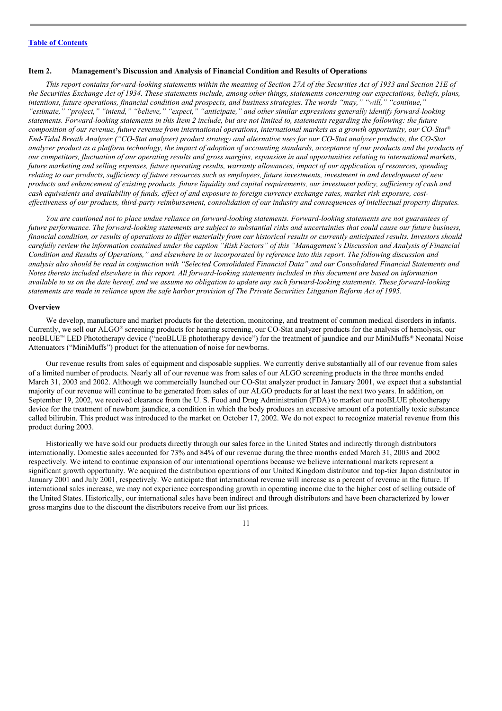#### **Item 2. Management's Discussion and Analysis of Financial Condition and Results of Operations**

This report contains forward-looking statements within the meaning of Section 27A of the Securities Act of 1933 and Section 21E of the Securities Exchange Act of 1934. These statements include, among other things, statements concerning our expectations, beliefs, plans, intentions, future operations, financial condition and prospects, and business strategies. The words "may," "will," "continue," *"estimate," "project," "intend," "believe," "expect," "anticipate," and other similar expressions generally identify forward-looking* statements. Forward-looking statements in this Item 2 include, but are not limited to, statements regarding the following: the future composition of our revenue, future revenue from international operations, international markets as a growth opportunity, our CO-Stat® End-Tidal Breath Analyzer ("CO-Stat analyzer) product strategy and alternative uses for our CO-Stat analyzer products, the CO-Stat analyzer product as a platform technology, the impact of adoption of accounting standards, acceptance of our products and the products of our competitors, fluctuation of our operating results and gross margins, expansion in and opportunities relating to international markets, future marketing and selling expenses, future operating results, warranty allowances, impact of our application of resources, spending relating to our products, sufficiency of future resources such as employees, future investments, investment in and development of new products and enhancement of existing products, future liquidity and capital requirements, our investment policy, sufficiency of cash and cash equivalents and availability of funds, effect of and exposure to foreign currency exchange rates, market risk exposure, costeffectiveness of our products, third-party reimbursement, consolidation of our industry and consequences of intellectual property disputes.

You are cautioned not to place undue reliance on forward-looking statements. Forward-looking statements are not guarantees of future performance. The forward-looking statements are subject to substantial risks and uncertainties that could cause our future business. financial condition, or results of operations to differ materially from our historical results or currently anticipated results. Investors should carefully review the information contained under the caption "Risk Factors" of this "Management's Discussion and Analysis of Financial Condition and Results of Operations," and elsewhere in or incorporated by reference into this report. The following discussion and analysis also should be read in conjunction with "Selected Consolidated Financial Data" and our Consolidated Financial Statements and Notes thereto included elsewhere in this report. All forward-looking statements included in this document are based on information available to us on the date hereof, and we assume no obligation to update any such forward-looking statements. These forward-looking statements are made in reliance upon the safe harbor provision of The Private Securities Litigation Reform Act of 1995.

#### **Overview**

We develop, manufacture and market products for the detection, monitoring, and treatment of common medical disorders in infants. Currently, we sell our ALGO® screening products for hearing screening, our CO-Stat analyzer products for the analysis of hemolysis, our neoBLUE<sup>™</sup> LED Phototherapy device ("neoBLUE phototherapy device") for the treatment of jaundice and our MiniMuffs® Neonatal Noise Attenuators ("MiniMuffs") product for the attenuation of noise for newborns.

Our revenue results from sales of equipment and disposable supplies. We currently derive substantially all of our revenue from sales of a limited number of products. Nearly all of our revenue was from sales of our ALGO screening products in the three months ended March 31, 2003 and 2002. Although we commercially launched our CO-Stat analyzer product in January 2001, we expect that a substantial majority of our revenue will continue to be generated from sales of our ALGO products for at least the next two years. In addition, on September 19, 2002, we received clearance from the U. S. Food and Drug Administration (FDA) to market our neoBLUE phototherapy device for the treatment of newborn jaundice, a condition in which the body produces an excessive amount of a potentially toxic substance called bilirubin. This product was introduced to the market on October 17, 2002. We do not expect to recognize material revenue from this product during 2003.

Historically we have sold our products directly through our sales force in the United States and indirectly through distributors internationally. Domestic sales accounted for 73% and 84% of our revenue during the three months ended March 31, 2003 and 2002 respectively. We intend to continue expansion of our international operations because we believe international markets represent a significant growth opportunity. We acquired the distribution operations of our United Kingdom distributor and top-tier Japan distributor in January 2001 and July 2001, respectively. We anticipate that international revenue will increase as a percent of revenue in the future. If international sales increase, we may not experience corresponding growth in operating income due to the higher cost of selling outside of the United States. Historically, our international sales have been indirect and through distributors and have been characterized by lower gross margins due to the discount the distributors receive from our list prices.

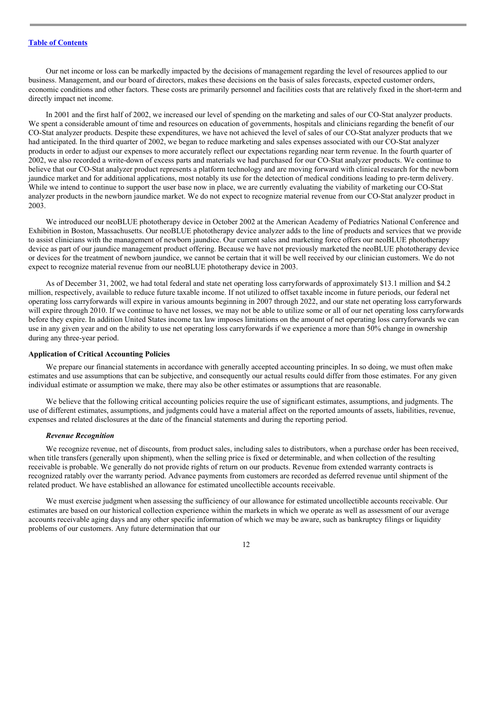Our net income or loss can be markedly impacted by the decisions of management regarding the level of resources applied to our business. Management, and our board of directors, makes these decisions on the basis of sales forecasts, expected customer orders, economic conditions and other factors. These costs are primarily personnel and facilities costs that are relatively fixed in the short-term and directly impact net income.

In 2001 and the first half of 2002, we increased our level of spending on the marketing and sales of our CO-Stat analyzer products. We spent a considerable amount of time and resources on education of governments, hospitals and clinicians regarding the benefit of our CO-Stat analyzer products. Despite these expenditures, we have not achieved the level of sales of our CO-Stat analyzer products that we had anticipated. In the third quarter of 2002, we began to reduce marketing and sales expenses associated with our CO-Stat analyzer products in order to adjust our expenses to more accurately reflect our expectations regarding near term revenue. In the fourth quarter of 2002, we also recorded a write-down of excess parts and materials we had purchased for our CO-Stat analyzer products. We continue to believe that our CO-Stat analyzer product represents a platform technology and are moving forward with clinical research for the newborn jaundice market and for additional applications, most notably its use for the detection of medical conditions leading to pre-term delivery. While we intend to continue to support the user base now in place, we are currently evaluating the viability of marketing our CO-Stat analyzer products in the newborn jaundice market. We do not expect to recognize material revenue from our CO-Stat analyzer product in 2003.

We introduced our neoBLUE phototherapy device in October 2002 at the American Academy of Pediatrics National Conference and Exhibition in Boston, Massachusetts. Our neoBLUE phototherapy device analyzer adds to the line of products and services that we provide to assist clinicians with the management of newborn jaundice. Our current sales and marketing force offers our neoBLUE phototherapy device as part of our jaundice management product offering. Because we have not previously marketed the neoBLUE phototherapy device or devices for the treatment of newborn jaundice, we cannot be certain that it will be well received by our clinician customers. We do not expect to recognize material revenue from our neoBLUE phototherapy device in 2003.

As of December 31, 2002, we had total federal and state net operating loss carryforwards of approximately \$13.1 million and \$4.2 million, respectively, available to reduce future taxable income. If not utilized to offset taxable income in future periods, our federal net operating loss carryforwards will expire in various amounts beginning in 2007 through 2022, and our state net operating loss carryforwards will expire through 2010. If we continue to have net losses, we may not be able to utilize some or all of our net operating loss carryforwards before they expire. In addition United States income tax law imposes limitations on the amount of net operating loss carryforwards we can use in any given year and on the ability to use net operating loss carryforwards if we experience a more than 50% change in ownership during any three-year period.

#### **Application of Critical Accounting Policies**

We prepare our financial statements in accordance with generally accepted accounting principles. In so doing, we must often make estimates and use assumptions that can be subjective, and consequently our actual results could differ from those estimates. For any given individual estimate or assumption we make, there may also be other estimates or assumptions that are reasonable.

We believe that the following critical accounting policies require the use of significant estimates, assumptions, and judgments. The use of different estimates, assumptions, and judgments could have a material affect on the reported amounts of assets, liabilities, revenue, expenses and related disclosures at the date of the financial statements and during the reporting period.

#### *Revenue Recognition*

We recognize revenue, net of discounts, from product sales, including sales to distributors, when a purchase order has been received, when title transfers (generally upon shipment), when the selling price is fixed or determinable, and when collection of the resulting receivable is probable. We generally do not provide rights of return on our products. Revenue from extended warranty contracts is recognized ratably over the warranty period. Advance payments from customers are recorded as deferred revenue until shipment of the related product. We have established an allowance for estimated uncollectible accounts receivable.

We must exercise judgment when assessing the sufficiency of our allowance for estimated uncollectible accounts receivable. Our estimates are based on our historical collection experience within the markets in which we operate as well as assessment of our average accounts receivable aging days and any other specific information of which we may be aware, such as bankruptcy filings or liquidity problems of our customers. Any future determination that our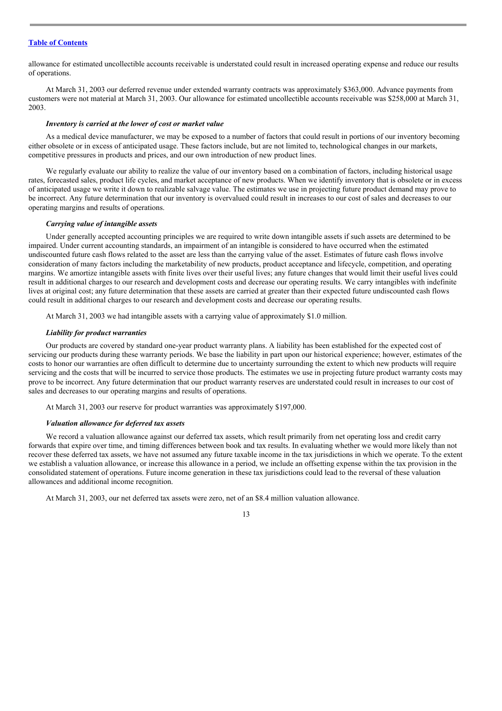allowance for estimated uncollectible accounts receivable is understated could result in increased operating expense and reduce our results of operations.

At March 31, 2003 our deferred revenue under extended warranty contracts was approximately \$363,000. Advance payments from customers were not material at March 31, 2003. Our allowance for estimated uncollectible accounts receivable was \$258,000 at March 31, 2003.

#### *Inventory is carried at the lower of cost or market value*

As a medical device manufacturer, we may be exposed to a number of factors that could result in portions of our inventory becoming either obsolete or in excess of anticipated usage. These factors include, but are not limited to, technological changes in our markets, competitive pressures in products and prices, and our own introduction of new product lines.

We regularly evaluate our ability to realize the value of our inventory based on a combination of factors, including historical usage rates, forecasted sales, product life cycles, and market acceptance of new products. When we identify inventory that is obsolete or in excess of anticipated usage we write it down to realizable salvage value. The estimates we use in projecting future product demand may prove to be incorrect. Any future determination that our inventory is overvalued could result in increases to our cost of sales and decreases to our operating margins and results of operations.

#### *Carrying value of intangible assets*

Under generally accepted accounting principles we are required to write down intangible assets if such assets are determined to be impaired. Under current accounting standards, an impairment of an intangible is considered to have occurred when the estimated undiscounted future cash flows related to the asset are less than the carrying value of the asset. Estimates of future cash flows involve consideration of many factors including the marketability of new products, product acceptance and lifecycle, competition, and operating margins. We amortize intangible assets with finite lives over their useful lives; any future changes that would limit their useful lives could result in additional charges to our research and development costs and decrease our operating results. We carry intangibles with indefinite lives at original cost; any future determination that these assets are carried at greater than their expected future undiscounted cash flows could result in additional charges to our research and development costs and decrease our operating results.

At March 31, 2003 we had intangible assets with a carrying value of approximately \$1.0 million.

#### *Liability for product warranties*

Our products are covered by standard one-year product warranty plans. A liability has been established for the expected cost of servicing our products during these warranty periods. We base the liability in part upon our historical experience; however, estimates of the costs to honor our warranties are often difficult to determine due to uncertainty surrounding the extent to which new products will require servicing and the costs that will be incurred to service those products. The estimates we use in projecting future product warranty costs may prove to be incorrect. Any future determination that our product warranty reserves are understated could result in increases to our cost of sales and decreases to our operating margins and results of operations.

At March 31, 2003 our reserve for product warranties was approximately \$197,000.

#### *Valuation allowance for deferred tax assets*

We record a valuation allowance against our deferred tax assets, which result primarily from net operating loss and credit carry forwards that expire over time, and timing differences between book and tax results. In evaluating whether we would more likely than not recover these deferred tax assets, we have not assumed any future taxable income in the tax jurisdictions in which we operate. To the extent we establish a valuation allowance, or increase this allowance in a period, we include an offsetting expense within the tax provision in the consolidated statement of operations. Future income generation in these tax jurisdictions could lead to the reversal of these valuation allowances and additional income recognition.

At March 31, 2003, our net deferred tax assets were zero, net of an \$8.4 million valuation allowance.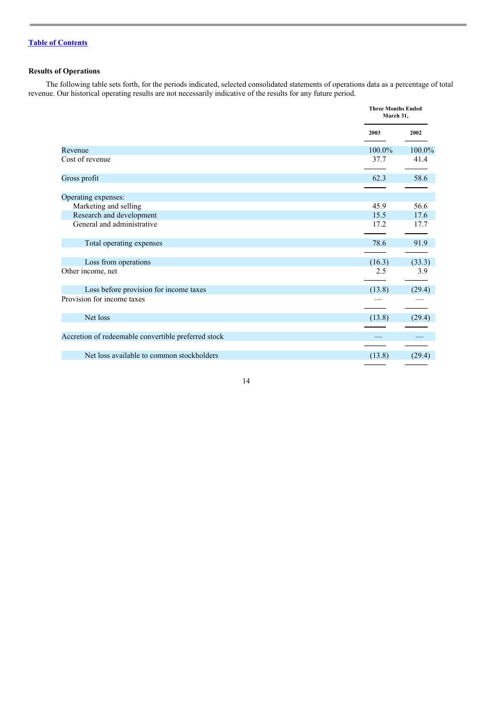## **Results of Operations**

The following table sets forth, for the periods indicated, selected consolidated statements of operations data as a percentage of total revenue. Our historical operating results are not necessarily indicative of the results for any future period.

|                                                     |        | <b>Three Months Ended</b><br>March 31, |  |
|-----------------------------------------------------|--------|----------------------------------------|--|
|                                                     | 2003   | 2002                                   |  |
| Revenue                                             | 100.0% | 100.0%                                 |  |
| Cost of revenue                                     | 37.7   | 41.4                                   |  |
| Gross profit                                        | 62.3   | 58.6                                   |  |
|                                                     |        |                                        |  |
| Operating expenses:                                 | 45.9   | 56.6                                   |  |
| Marketing and selling                               |        |                                        |  |
| Research and development                            | 15.5   | 17.6                                   |  |
| General and administrative                          | 17.2   | 17.7                                   |  |
| Total operating expenses                            | 78.6   | 91.9                                   |  |
|                                                     |        |                                        |  |
| Loss from operations                                | (16.3) | (33.3)                                 |  |
| Other income, net                                   | 2.5    | 3.9                                    |  |
| Loss before provision for income taxes              | (13.8) | (29.4)                                 |  |
| Provision for income taxes                          |        |                                        |  |
|                                                     |        |                                        |  |
| Net loss                                            | (13.8) | (29.4)                                 |  |
|                                                     |        |                                        |  |
| Accretion of redeemable convertible preferred stock |        |                                        |  |
|                                                     |        |                                        |  |
| Net loss available to common stockholders           | (13.8) | (29.4)                                 |  |
|                                                     |        |                                        |  |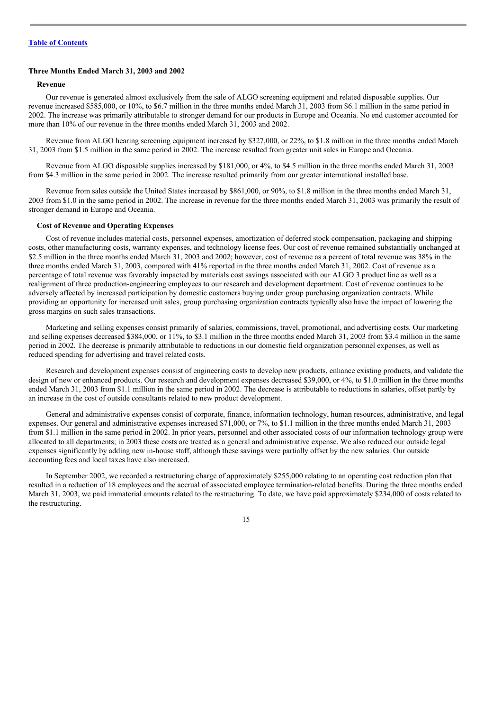#### **Three Months Ended March 31, 2003 and 2002**

#### **Revenue**

Our revenue is generated almost exclusively from the sale of ALGO screening equipment and related disposable supplies. Our revenue increased \$585,000, or 10%, to \$6.7 million in the three months ended March 31, 2003 from \$6.1 million in the same period in 2002. The increase was primarily attributable to stronger demand for our products in Europe and Oceania. No end customer accounted for more than 10% of our revenue in the three months ended March 31, 2003 and 2002.

Revenue from ALGO hearing screening equipment increased by \$327,000, or 22%, to \$1.8 million in the three months ended March 31, 2003 from \$1.5 million in the same period in 2002. The increase resulted from greater unit sales in Europe and Oceania.

Revenue from ALGO disposable supplies increased by \$181,000, or 4%, to \$4.5 million in the three months ended March 31, 2003 from \$4.3 million in the same period in 2002. The increase resulted primarily from our greater international installed base.

Revenue from sales outside the United States increased by \$861,000, or 90%, to \$1.8 million in the three months ended March 31, 2003 from \$1.0 in the same period in 2002. The increase in revenue for the three months ended March 31, 2003 was primarily the result of stronger demand in Europe and Oceania.

#### **Cost of Revenue and Operating Expenses**

Cost of revenue includes material costs, personnel expenses, amortization of deferred stock compensation, packaging and shipping costs, other manufacturing costs, warranty expenses, and technology license fees. Our cost of revenue remained substantially unchanged at \$2.5 million in the three months ended March 31, 2003 and 2002; however, cost of revenue as a percent of total revenue was 38% in the three months ended March 31, 2003, compared with 41% reported in the three months ended March 31, 2002. Cost of revenue as a percentage of total revenue was favorably impacted by materials cost savings associated with our ALGO 3 product line as well as a realignment of three production-engineering employees to our research and development department. Cost of revenue continues to be adversely affected by increased participation by domestic customers buying under group purchasing organization contracts. While providing an opportunity for increased unit sales, group purchasing organization contracts typically also have the impact of lowering the gross margins on such sales transactions.

Marketing and selling expenses consist primarily of salaries, commissions, travel, promotional, and advertising costs. Our marketing and selling expenses decreased \$384,000, or 11%, to \$3.1 million in the three months ended March 31, 2003 from \$3.4 million in the same period in 2002. The decrease is primarily attributable to reductions in our domestic field organization personnel expenses, as well as reduced spending for advertising and travel related costs.

Research and development expenses consist of engineering costs to develop new products, enhance existing products, and validate the design of new or enhanced products. Our research and development expenses decreased \$39,000, or 4%, to \$1.0 million in the three months ended March 31, 2003 from \$1.1 million in the same period in 2002. The decrease is attributable to reductions in salaries, offset partly by an increase in the cost of outside consultants related to new product development.

General and administrative expenses consist of corporate, finance, information technology, human resources, administrative, and legal expenses. Our general and administrative expenses increased \$71,000, or 7%, to \$1.1 million in the three months ended March 31, 2003 from \$1.1 million in the same period in 2002. In prior years, personnel and other associated costs of our information technology group were allocated to all departments; in 2003 these costs are treated as a general and administrative expense. We also reduced our outside legal expenses significantly by adding new in-house staff, although these savings were partially offset by the new salaries. Our outside accounting fees and local taxes have also increased.

In September 2002, we recorded a restructuring charge of approximately \$255,000 relating to an operating cost reduction plan that resulted in a reduction of 18 employees and the accrual of associated employee termination-related benefits. During the three months ended March 31, 2003, we paid immaterial amounts related to the restructuring. To date, we have paid approximately \$234,000 of costs related to the restructuring.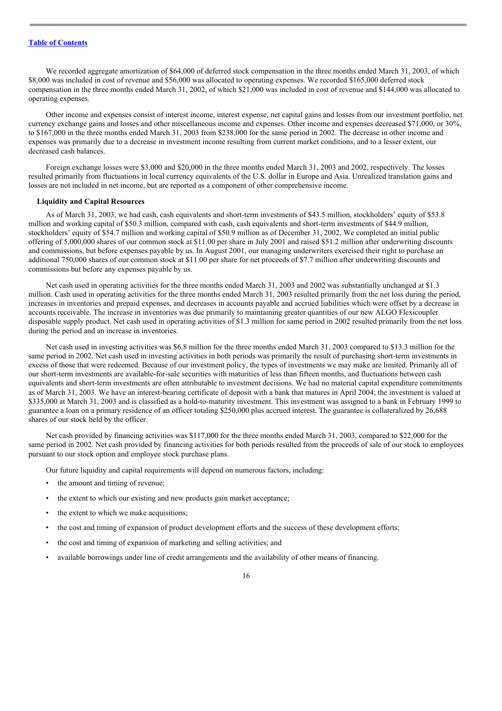We recorded aggregate amortization of \$64,000 of deferred stock compensation in the three months ended March 31, 2003, of which \$8,000 was included in cost of revenue and \$56,000 was allocated to operating expenses. We recorded \$165,000 deferred stock compensation in the three months ended March 31, 2002, of which \$21,000 was included in cost of revenue and \$144,000 was allocated to operating expenses.

Other income and expenses consist of interest income, interest expense, net capital gains and losses from our investment portfolio, net currency exchange gains and losses and other miscellaneous income and expenses. Other income and expenses decreased \$71,000, or 30%, to \$167,000 in the three months ended March 31, 2003 from \$238,000 for the same period in 2002. The decrease in other income and expenses was primarily due to a decrease in investment income resulting from current market conditions, and to a lesser extent, our decreased cash balances.

Foreign exchange losses were \$3,000 and \$20,000 in the three months ended March 31, 2003 and 2002, respectively. The losses resulted primarily from fluctuations in local currency equivalents of the U.S. dollar in Europe and Asia. Unrealized translation gains and losses are not included in net income, but are reported as a component of other comprehensive income.

#### **Liquidity and Capital Resources**

As of March 31, 2003, we had cash, cash equivalents and short-term investments of \$43.5 million, stockholders' equity of \$53.8 million and working capital of \$50.3 million, compared with cash, cash equivalents and short-term investments of \$44.9 million, stockholders' equity of \$54.7 million and working capital of \$50.9 million as of December 31, 2002. We completed an initial public offering of 5,000,000 shares of our common stock at \$11.00 per share in July 2001 and raised \$51.2 million after underwriting discounts and commissions, but before expenses payable by us. In August 2001, our managing underwriters exercised their right to purchase an additional 750,000 shares of our common stock at \$11.00 per share for net proceeds of \$7.7 million after underwriting discounts and commissions but before any expenses payable by us.

Net cash used in operating activities for the three months ended March 31, 2003 and 2002 was substantially unchanged at \$1.3 million. Cash used in operating activities for the three months ended March 31, 2003 resulted primarily from the net loss during the period, increases in inventories and prepaid expenses, and decreases in accounts payable and accrued liabilities which were offset by a decrease in accounts receivable. The increase in inventories was due primarily to maintaining greater quantities of our new ALGO Flexicoupler disposable supply product. Net cash used in operating activities of \$1.3 million for same period in 2002 resulted primarily from the net loss during the period and an increase in inventories.

Net cash used in investing activities was \$6.8 million for the three months ended March 31, 2003 compared to \$13.3 million for the same period in 2002. Net cash used in investing activities in both periods was primarily the result of purchasing short-term investments in excess of those that were redeemed. Because of our investment policy, the types of investments we may make are limited. Primarily all of our short-term investments are available-for-sale securities with maturities of less than fifteen months, and fluctuations between cash equivalents and short-term investments are often attributable to investment decisions. We had no material capital expenditure commitments as of March 31, 2003. We have an interest-bearing certificate of deposit with a bank that matures in April 2004; the investment is valued at \$335,000 at March 31, 2003 and is classified as a hold-to-maturity investment. This investment was assigned to a bank in February 1999 to guarantee a loan on a primary residence of an officer totaling \$250,000 plus accrued interest. The guarantee is collateralized by 26,688 shares of our stock held by the officer.

Net cash provided by financing activities was \$117,000 for the three months ended March 31, 2003, compared to \$22,000 for the same period in 2002. Net cash provided by financing activities for both periods resulted from the proceeds of sale of our stock to employees pursuant to our stock option and employee stock purchase plans.

Our future liquidity and capital requirements will depend on numerous factors, including:

- the amount and timing of revenue;
- the extent to which our existing and new products gain market acceptance;
- the extent to which we make acquisitions;
- the cost and timing of expansion of product development efforts and the success of these development efforts;
- the cost and timing of expansion of marketing and selling activities; and
- available borrowings under line of credit arrangements and the availability of other means of financing.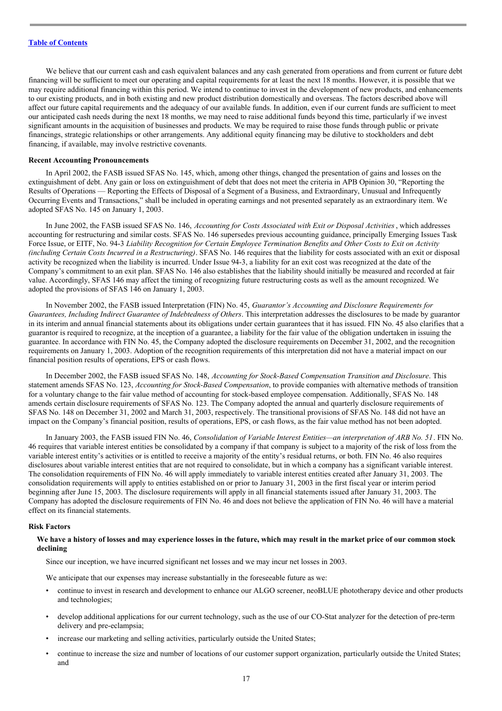We believe that our current cash and cash equivalent balances and any cash generated from operations and from current or future debt financing will be sufficient to meet our operating and capital requirements for at least the next 18 months. However, it is possible that we may require additional financing within this period. We intend to continue to invest in the development of new products, and enhancements to our existing products, and in both existing and new product distribution domestically and overseas. The factors described above will affect our future capital requirements and the adequacy of our available funds. In addition, even if our current funds are sufficient to meet our anticipated cash needs during the next 18 months, we may need to raise additional funds beyond this time, particularly if we invest significant amounts in the acquisition of businesses and products. We may be required to raise those funds through public or private financings, strategic relationships or other arrangements. Any additional equity financing may be dilutive to stockholders and debt financing, if available, may involve restrictive covenants.

#### **Recent Accounting Pronouncements**

In April 2002, the FASB issued SFAS No. 145, which, among other things, changed the presentation of gains and losses on the extinguishment of debt. Any gain or loss on extinguishment of debt that does not meet the criteria in APB Opinion 30, "Reporting the Results of Operations — Reporting the Effects of Disposal of a Segment of a Business, and Extraordinary, Unusual and Infrequently Occurring Events and Transactions," shall be included in operating earnings and not presented separately as an extraordinary item. We adopted SFAS No. 145 on January 1, 2003.

In June 2002, the FASB issued SFAS No. 146, *Accounting for Costs Associated with Exit or Disposal Activities*, which addresses accounting for restructuring and similar costs. SFAS No. 146 supersedes previous accounting guidance, principally Emerging Issues Task Force Issue, or EITF, No. 94-3 Liability Recognition for Certain Employee Termination Benefits and Other Costs to Exit on Activity *(including Certain Costs Incurred in a Restructuring)*. SFAS No. 146 requires that the liability for costs associated with an exit or disposal activity be recognized when the liability is incurred. Under Issue 94-3, a liability for an exit cost was recognized at the date of the Company's commitment to an exit plan. SFAS No. 146 also establishes that the liability should initially be measured and recorded at fair value. Accordingly, SFAS 146 may affect the timing of recognizing future restructuring costs as well as the amount recognized. We adopted the provisions of SFAS 146 on January 1, 2003.

In November 2002, the FASB issued Interpretation (FIN) No. 45, *Guarantor's Accounting and Disclosure Requirements for Guarantees, Including Indirect Guarantee of Indebtedness of Others*. This interpretation addresses the disclosures to be made by guarantor in its interim and annual financial statements about its obligations under certain guarantees that it has issued. FIN No. 45 also clarifies that a guarantor is required to recognize, at the inception of a guarantee, a liability for the fair value of the obligation undertaken in issuing the guarantee. In accordance with FIN No. 45, the Company adopted the disclosure requirements on December 31, 2002, and the recognition requirements on January 1, 2003. Adoption of the recognition requirements of this interpretation did not have a material impact on our financial position results of operations, EPS or cash flows.

In December 2002, the FASB issued SFAS No. 148, *Accounting for Stock-Based Compensation Transition and Disclosure*. This statement amends SFAS No. 123, *Accounting for Stock-Based Compensation*, to provide companies with alternative methods of transition for a voluntary change to the fair value method of accounting for stock-based employee compensation. Additionally, SFAS No. 148 amends certain disclosure requirements of SFAS No. 123. The Company adopted the annual and quarterly disclosure requirements of SFAS No. 148 on December 31, 2002 and March 31, 2003, respectively. The transitional provisions of SFAS No. 148 did not have an impact on the Company's financial position, results of operations, EPS, or cash flows, as the fair value method has not been adopted.

In January 2003, the FASB issued FIN No. 46, *Consolidation of Variable Interest Entities—an interpretation of ARB No. 51*. FIN No. 46 requires that variable interest entities be consolidated by a company if that company is subject to a majority of the risk of loss from the variable interest entity's activities or is entitled to receive a majority of the entity's residual returns, or both. FIN No. 46 also requires disclosures about variable interest entities that are not required to consolidate, but in which a company has a significant variable interest. The consolidation requirements of FIN No. 46 will apply immediately to variable interest entities created after January 31, 2003. The consolidation requirements will apply to entities established on or prior to January 31, 2003 in the first fiscal year or interim period beginning after June 15, 2003. The disclosure requirements will apply in all financial statements issued after January 31, 2003. The Company has adopted the disclosure requirements of FIN No. 46 and does not believe the application of FIN No. 46 will have a material effect on its financial statements.

## **Risk Factors**

#### We have a history of losses and may experience losses in the future, which may result in the market price of our common stock **declining**

Since our inception, we have incurred significant net losses and we may incur net losses in 2003.

We anticipate that our expenses may increase substantially in the foreseeable future as we:

- continue to invest in research and development to enhance our ALGO screener, neoBLUE phototherapy device and other products and technologies;
- develop additional applications for our current technology, such as the use of our CO-Stat analyzer for the detection of pre-term delivery and pre-eclampsia;
- increase our marketing and selling activities, particularly outside the United States;
- continue to increase the size and number of locations of our customer support organization, particularly outside the United States; and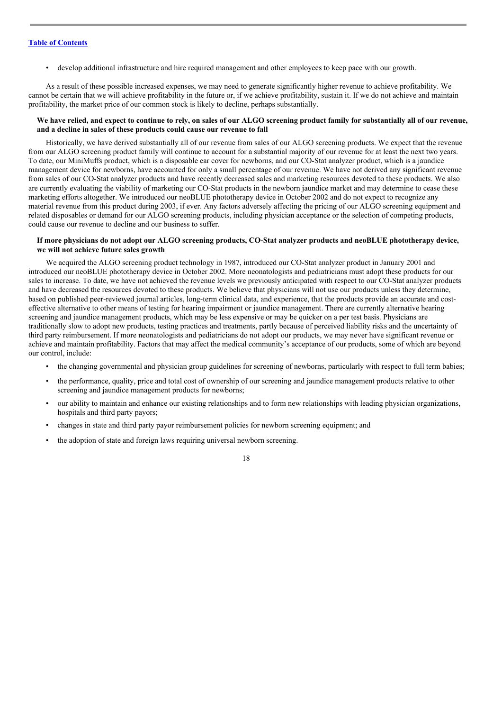• develop additional infrastructure and hire required management and other employees to keep pace with our growth.

As a result of these possible increased expenses, we may need to generate significantly higher revenue to achieve profitability. We cannot be certain that we will achieve profitability in the future or, if we achieve profitability, sustain it. If we do not achieve and maintain profitability, the market price of our common stock is likely to decline, perhaps substantially.

#### We have relied, and expect to continue to rely, on sales of our ALGO screening product family for substantially all of our revenue, **and a decline in sales of these products could cause our revenue to fall**

Historically, we have derived substantially all of our revenue from sales of our ALGO screening products. We expect that the revenue from our ALGO screening product family will continue to account for a substantial majority of our revenue for at least the next two years. To date, our MiniMuffs product, which is a disposable ear cover for newborns, and our CO-Stat analyzer product, which is a jaundice management device for newborns, have accounted for only a small percentage of our revenue. We have not derived any significant revenue from sales of our CO-Stat analyzer products and have recently decreased sales and marketing resources devoted to these products. We also are currently evaluating the viability of marketing our CO-Stat products in the newborn jaundice market and may determine to cease these marketing efforts altogether. We introduced our neoBLUE phototherapy device in October 2002 and do not expect to recognize any material revenue from this product during 2003, if ever. Any factors adversely affecting the pricing of our ALGO screening equipment and related disposables or demand for our ALGO screening products, including physician acceptance or the selection of competing products, could cause our revenue to decline and our business to suffer.

#### If more physicians do not adopt our ALGO screening products, CO-Stat analyzer products and neoBLUE phototherapy device, **we will not achieve future sales growth**

We acquired the ALGO screening product technology in 1987, introduced our CO-Stat analyzer product in January 2001 and introduced our neoBLUE phototherapy device in October 2002. More neonatologists and pediatricians must adopt these products for our sales to increase. To date, we have not achieved the revenue levels we previously anticipated with respect to our CO-Stat analyzer products and have decreased the resources devoted to these products. We believe that physicians will not use our products unless they determine, based on published peer-reviewed journal articles, long-term clinical data, and experience, that the products provide an accurate and costeffective alternative to other means of testing for hearing impairment or jaundice management. There are currently alternative hearing screening and jaundice management products, which may be less expensive or may be quicker on a per test basis. Physicians are traditionally slow to adopt new products, testing practices and treatments, partly because of perceived liability risks and the uncertainty of third party reimbursement. If more neonatologists and pediatricians do not adopt our products, we may never have significant revenue or achieve and maintain profitability. Factors that may affect the medical community's acceptance of our products, some of which are beyond our control, include:

- the changing governmental and physician group guidelines for screening of newborns, particularly with respect to full term babies;
- the performance, quality, price and total cost of ownership of our screening and jaundice management products relative to other screening and jaundice management products for newborns;
- our ability to maintain and enhance our existing relationships and to form new relationships with leading physician organizations, hospitals and third party payors;
- changes in state and third party payor reimbursement policies for newborn screening equipment; and
- the adoption of state and foreign laws requiring universal newborn screening.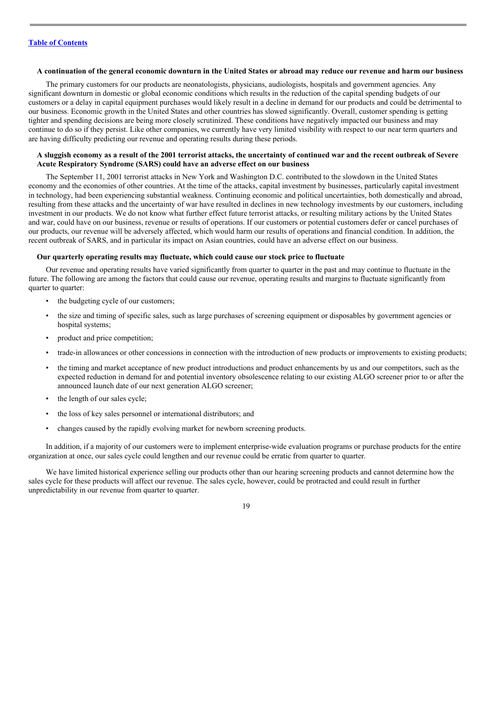#### A continuation of the general economic downturn in the United States or abroad may reduce our revenue and harm our business

The primary customers for our products are neonatologists, physicians, audiologists, hospitals and government agencies. Any significant downturn in domestic or global economic conditions which results in the reduction of the capital spending budgets of our customers or a delay in capital equipment purchases would likely result in a decline in demand for our products and could be detrimental to our business. Economic growth in the United States and other countries has slowed significantly. Overall, customer spending is getting tighter and spending decisions are being more closely scrutinized. These conditions have negatively impacted our business and may continue to do so if they persist. Like other companies, we currently have very limited visibility with respect to our near term quarters and are having difficulty predicting our revenue and operating results during these periods.

#### A sluggish economy as a result of the 2001 terrorist attacks, the uncertainty of continued war and the recent outbreak of Severe **Acute Respiratory Syndrome (SARS) could have an adverse effect on our business**

The September 11, 2001 terrorist attacks in New York and Washington D.C. contributed to the slowdown in the United States economy and the economies of other countries. At the time of the attacks, capital investment by businesses, particularly capital investment in technology, had been experiencing substantial weakness. Continuing economic and political uncertainties, both domestically and abroad, resulting from these attacks and the uncertainty of war have resulted in declines in new technology investments by our customers, including investment in our products. We do not know what further effect future terrorist attacks, or resulting military actions by the United States and war, could have on our business, revenue or results of operations. If our customers or potential customers defer or cancel purchases of our products, our revenue will be adversely affected, which would harm our results of operations and financial condition. In addition, the recent outbreak of SARS, and in particular its impact on Asian countries, could have an adverse effect on our business.

#### **Our quarterly operating results may fluctuate, which could cause our stock price to fluctuate**

Our revenue and operating results have varied significantly from quarter to quarter in the past and may continue to fluctuate in the future. The following are among the factors that could cause our revenue, operating results and margins to fluctuate significantly from quarter to quarter:

- the budgeting cycle of our customers;
- the size and timing of specific sales, such as large purchases of screening equipment or disposables by government agencies or hospital systems;
- product and price competition;
- trade-in allowances or other concessions in connection with the introduction of new products or improvements to existing products;
- the timing and market acceptance of new product introductions and product enhancements by us and our competitors, such as the expected reduction in demand for and potential inventory obsolescence relating to our existing ALGO screener prior to or after the announced launch date of our next generation ALGO screener;
- the length of our sales cycle;
- the loss of key sales personnel or international distributors; and
- changes caused by the rapidly evolving market for newborn screening products.

In addition, if a majority of our customers were to implement enterprise-wide evaluation programs or purchase products for the entire organization at once, our sales cycle could lengthen and our revenue could be erratic from quarter to quarter.

We have limited historical experience selling our products other than our hearing screening products and cannot determine how the sales cycle for these products will affect our revenue. The sales cycle, however, could be protracted and could result in further unpredictability in our revenue from quarter to quarter.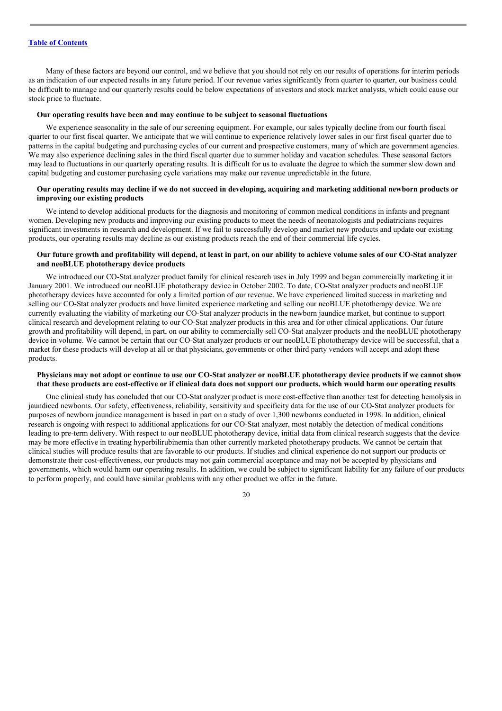Many of these factors are beyond our control, and we believe that you should not rely on our results of operations for interim periods as an indication of our expected results in any future period. If our revenue varies significantly from quarter to quarter, our business could be difficult to manage and our quarterly results could be below expectations of investors and stock market analysts, which could cause our stock price to fluctuate.

#### **Our operating results have been and may continue to be subject to seasonal fluctuations**

We experience seasonality in the sale of our screening equipment. For example, our sales typically decline from our fourth fiscal quarter to our first fiscal quarter. We anticipate that we will continue to experience relatively lower sales in our first fiscal quarter due to patterns in the capital budgeting and purchasing cycles of our current and prospective customers, many of which are government agencies. We may also experience declining sales in the third fiscal quarter due to summer holiday and vacation schedules. These seasonal factors may lead to fluctuations in our quarterly operating results. It is difficult for us to evaluate the degree to which the summer slow down and capital budgeting and customer purchasing cycle variations may make our revenue unpredictable in the future.

#### Our operating results may decline if we do not succeed in developing, acquiring and marketing additional newborn products or **improving our existing products**

We intend to develop additional products for the diagnosis and monitoring of common medical conditions in infants and pregnant women. Developing new products and improving our existing products to meet the needs of neonatologists and pediatricians requires significant investments in research and development. If we fail to successfully develop and market new products and update our existing products, our operating results may decline as our existing products reach the end of their commercial life cycles.

#### Our future growth and profitability will depend, at least in part, on our ability to achieve volume sales of our CO-Stat analyzer **and neoBLUE phototherapy device products**

We introduced our CO-Stat analyzer product family for clinical research uses in July 1999 and began commercially marketing it in January 2001. We introduced our neoBLUE phototherapy device in October 2002. To date, CO-Stat analyzer products and neoBLUE phototherapy devices have accounted for only a limited portion of our revenue. We have experienced limited success in marketing and selling our CO-Stat analyzer products and have limited experience marketing and selling our neoBLUE phototherapy device. We are currently evaluating the viability of marketing our CO-Stat analyzer products in the newborn jaundice market, but continue to support clinical research and development relating to our CO-Stat analyzer products in this area and for other clinical applications. Our future growth and profitability will depend, in part, on our ability to commercially sell CO-Stat analyzer products and the neoBLUE phototherapy device in volume. We cannot be certain that our CO-Stat analyzer products or our neoBLUE phototherapy device will be successful, that a market for these products will develop at all or that physicians, governments or other third party vendors will accept and adopt these products.

#### Physicians may not adopt or continue to use our CO-Stat analyzer or neoBLUE phototherapy device products if we cannot show that these products are cost-effective or if clinical data does not support our products, which would harm our operating results

One clinical study has concluded that our CO-Stat analyzer product is more cost-effective than another test for detecting hemolysis in jaundiced newborns. Our safety, effectiveness, reliability, sensitivity and specificity data for the use of our CO-Stat analyzer products for purposes of newborn jaundice management is based in part on a study of over 1,300 newborns conducted in 1998. In addition, clinical research is ongoing with respect to additional applications for our CO-Stat analyzer, most notably the detection of medical conditions leading to pre-term delivery. With respect to our neoBLUE phototherapy device, initial data from clinical research suggests that the device may be more effective in treating hyperbilirubinemia than other currently marketed phototherapy products. We cannot be certain that clinical studies will produce results that are favorable to our products. If studies and clinical experience do not support our products or demonstrate their cost-effectiveness, our products may not gain commercial acceptance and may not be accepted by physicians and governments, which would harm our operating results. In addition, we could be subject to significant liability for any failure of our products to perform properly, and could have similar problems with any other product we offer in the future.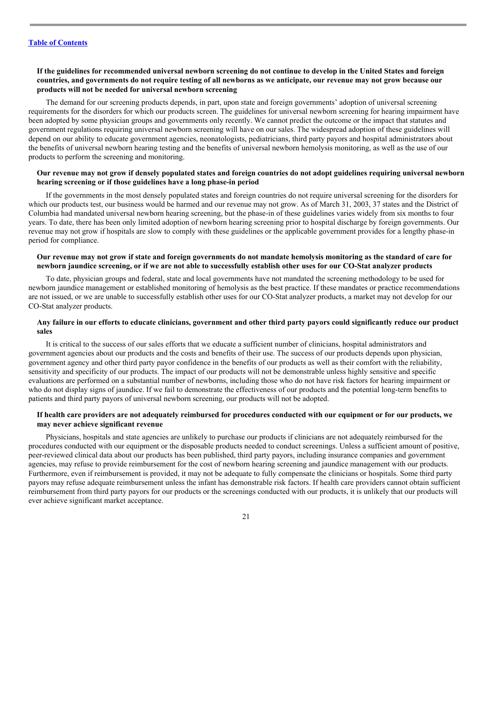#### If the guidelines for recommended universal newborn screening do not continue to develop in the United States and foreign countries, and governments do not require testing of all newborns as we anticipate, our revenue may not grow because our **products will not be needed for universal newborn screening**

The demand for our screening products depends, in part, upon state and foreign governments' adoption of universal screening requirements for the disorders for which our products screen. The guidelines for universal newborn screening for hearing impairment have been adopted by some physician groups and governments only recently. We cannot predict the outcome or the impact that statutes and government regulations requiring universal newborn screening will have on our sales. The widespread adoption of these guidelines will depend on our ability to educate government agencies, neonatologists, pediatricians, third party payors and hospital administrators about the benefits of universal newborn hearing testing and the benefits of universal newborn hemolysis monitoring, as well as the use of our products to perform the screening and monitoring.

#### Our revenue may not grow if densely populated states and foreign countries do not adopt guidelines requiring universal newborn **hearing screening or if those guidelines have a long phase-in period**

If the governments in the most densely populated states and foreign countries do not require universal screening for the disorders for which our products test, our business would be harmed and our revenue may not grow. As of March 31, 2003, 37 states and the District of Columbia had mandated universal newborn hearing screening, but the phase-in of these guidelines varies widely from six months to four years. To date, there has been only limited adoption of newborn hearing screening prior to hospital discharge by foreign governments. Our revenue may not grow if hospitals are slow to comply with these guidelines or the applicable government provides for a lengthy phase-in period for compliance.

#### Our revenue may not grow if state and foreign governments do not mandate hemolysis monitoring as the standard of care for newborn jaundice screening, or if we are not able to successfully establish other uses for our CO-Stat analyzer products

To date, physician groups and federal, state and local governments have not mandated the screening methodology to be used for newborn jaundice management or established monitoring of hemolysis as the best practice. If these mandates or practice recommendations are not issued, or we are unable to successfully establish other uses for our CO-Stat analyzer products, a market may not develop for our CO-Stat analyzer products.

#### Any failure in our efforts to educate clinicians, government and other third party payors could significantly reduce our product **sales**

It is critical to the success of our sales efforts that we educate a sufficient number of clinicians, hospital administrators and government agencies about our products and the costs and benefits of their use. The success of our products depends upon physician, government agency and other third party payor confidence in the benefits of our products as well as their comfort with the reliability, sensitivity and specificity of our products. The impact of our products will not be demonstrable unless highly sensitive and specific evaluations are performed on a substantial number of newborns, including those who do not have risk factors for hearing impairment or who do not display signs of jaundice. If we fail to demonstrate the effectiveness of our products and the potential long-term benefits to patients and third party payors of universal newborn screening, our products will not be adopted.

#### If health care providers are not adequately reimbursed for procedures conducted with our equipment or for our products, we **may never achieve significant revenue**

Physicians, hospitals and state agencies are unlikely to purchase our products if clinicians are not adequately reimbursed for the procedures conducted with our equipment or the disposable products needed to conduct screenings. Unless a sufficient amount of positive, peer-reviewed clinical data about our products has been published, third party payors, including insurance companies and government agencies, may refuse to provide reimbursement for the cost of newborn hearing screening and jaundice management with our products. Furthermore, even if reimbursement is provided, it may not be adequate to fully compensate the clinicians or hospitals. Some third party payors may refuse adequate reimbursement unless the infant has demonstrable risk factors. If health care providers cannot obtain sufficient reimbursement from third party payors for our products or the screenings conducted with our products, it is unlikely that our products will ever achieve significant market acceptance.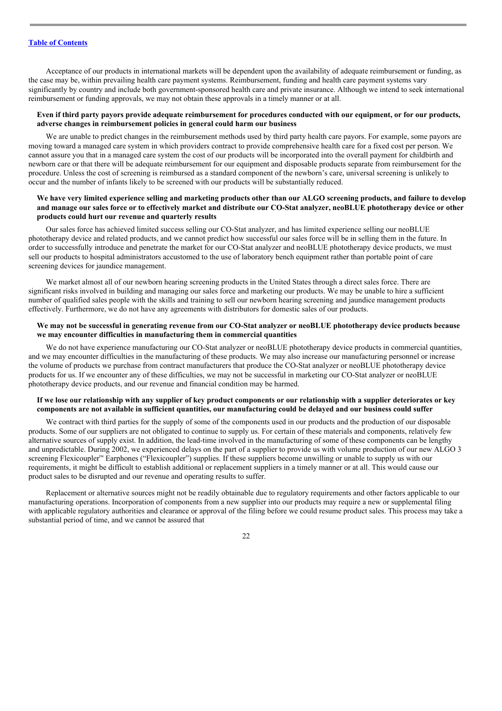Acceptance of our products in international markets will be dependent upon the availability of adequate reimbursement or funding, as the case may be, within prevailing health care payment systems. Reimbursement, funding and health care payment systems vary significantly by country and include both government-sponsored health care and private insurance. Although we intend to seek international reimbursement or funding approvals, we may not obtain these approvals in a timely manner or at all.

#### Even if third party payors provide adequate reimbursement for procedures conducted with our equipment, or for our products, **adverse changes in reimbursement policies in general could harm our business**

We are unable to predict changes in the reimbursement methods used by third party health care payors. For example, some payors are moving toward a managed care system in which providers contract to provide comprehensive health care for a fixed cost per person. We cannot assure you that in a managed care system the cost of our products will be incorporated into the overall payment for childbirth and newborn care or that there will be adequate reimbursement for our equipment and disposable products separate from reimbursement for the procedure. Unless the cost of screening is reimbursed as a standard component of the newborn's care, universal screening is unlikely to occur and the number of infants likely to be screened with our products will be substantially reduced.

#### We have very limited experience selling and marketing products other than our ALGO screening products, and failure to develop and manage our sales force or to effectively market and distribute our CO-Stat analyzer, neoBLUE phototherapy device or other **products could hurt our revenue and quarterly results**

Our sales force has achieved limited success selling our CO-Stat analyzer, and has limited experience selling our neoBLUE phototherapy device and related products, and we cannot predict how successful our sales force will be in selling them in the future. In order to successfully introduce and penetrate the market for our CO-Stat analyzer and neoBLUE phototherapy device products, we must sell our products to hospital administrators accustomed to the use of laboratory bench equipment rather than portable point of care screening devices for jaundice management.

We market almost all of our newborn hearing screening products in the United States through a direct sales force. There are significant risks involved in building and managing our sales force and marketing our products. We may be unable to hire a sufficient number of qualified sales people with the skills and training to sell our newborn hearing screening and jaundice management products effectively. Furthermore, we do not have any agreements with distributors for domestic sales of our products.

#### We may not be successful in generating revenue from our CO-Stat analyzer or neoBLUE phototherapy device products because **we may encounter difficulties in manufacturing them in commercial quantities**

We do not have experience manufacturing our CO-Stat analyzer or neoBLUE phototherapy device products in commercial quantities, and we may encounter difficulties in the manufacturing of these products. We may also increase our manufacturing personnel or increase the volume of products we purchase from contract manufacturers that produce the CO-Stat analyzer or neoBLUE phototherapy device products for us. If we encounter any of these difficulties, we may not be successful in marketing our CO-Stat analyzer or neoBLUE phototherapy device products, and our revenue and financial condition may be harmed.

#### If we lose our relationship with any supplier of key product components or our relationship with a supplier deteriorates or key components are not available in sufficient quantities, our manufacturing could be delayed and our business could suffer

We contract with third parties for the supply of some of the components used in our products and the production of our disposable products. Some of our suppliers are not obligated to continue to supply us. For certain of these materials and components, relatively few alternative sources of supply exist. In addition, the lead-time involved in the manufacturing of some of these components can be lengthy and unpredictable. During 2002, we experienced delays on the part of a supplier to provide us with volume production of our new ALGO 3 screening Flexicoupler™ Earphones ("Flexicoupler") supplies. If these suppliers become unwilling or unable to supply us with our requirements, it might be difficult to establish additional or replacement suppliers in a timely manner or at all. This would cause our product sales to be disrupted and our revenue and operating results to suffer.

Replacement or alternative sources might not be readily obtainable due to regulatory requirements and other factors applicable to our manufacturing operations. Incorporation of components from a new supplier into our products may require a new or supplemental filing with applicable regulatory authorities and clearance or approval of the filing before we could resume product sales. This process may take a substantial period of time, and we cannot be assured that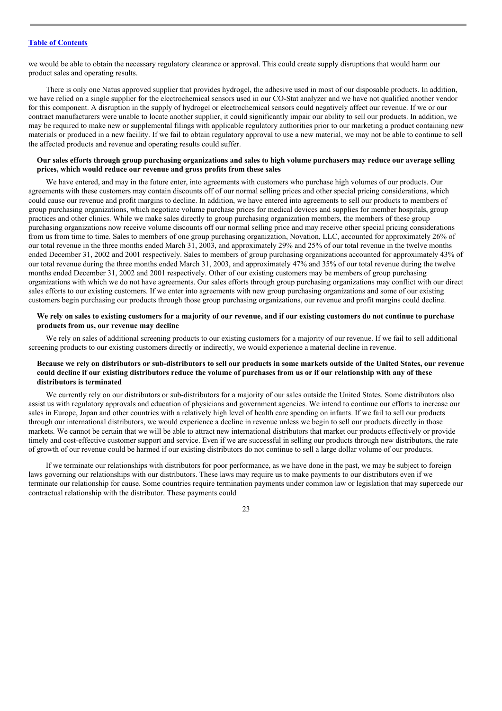we would be able to obtain the necessary regulatory clearance or approval. This could create supply disruptions that would harm our product sales and operating results.

There is only one Natus approved supplier that provides hydrogel, the adhesive used in most of our disposable products. In addition, we have relied on a single supplier for the electrochemical sensors used in our CO-Stat analyzer and we have not qualified another vendor for this component. A disruption in the supply of hydrogel or electrochemical sensors could negatively affect our revenue. If we or our contract manufacturers were unable to locate another supplier, it could significantly impair our ability to sell our products. In addition, we may be required to make new or supplemental filings with applicable regulatory authorities prior to our marketing a product containing new materials or produced in a new facility. If we fail to obtain regulatory approval to use a new material, we may not be able to continue to sell the affected products and revenue and operating results could suffer.

#### Our sales efforts through group purchasing organizations and sales to high volume purchasers may reduce our average selling **prices, which would reduce our revenue and gross profits from these sales**

We have entered, and may in the future enter, into agreements with customers who purchase high volumes of our products. Our agreements with these customers may contain discounts off of our normal selling prices and other special pricing considerations, which could cause our revenue and profit margins to decline. In addition, we have entered into agreements to sell our products to members of group purchasing organizations, which negotiate volume purchase prices for medical devices and supplies for member hospitals, group practices and other clinics. While we make sales directly to group purchasing organization members, the members of these group purchasing organizations now receive volume discounts off our normal selling price and may receive other special pricing considerations from us from time to time. Sales to members of one group purchasing organization, Novation, LLC, accounted for approximately 26% of our total revenue in the three months ended March 31, 2003, and approximately 29% and 25% of our total revenue in the twelve months ended December 31, 2002 and 2001 respectively. Sales to members of group purchasing organizations accounted for approximately 43% of our total revenue during the three months ended March 31, 2003, and approximately 47% and 35% of our total revenue during the twelve months ended December 31, 2002 and 2001 respectively. Other of our existing customers may be members of group purchasing organizations with which we do not have agreements. Our sales efforts through group purchasing organizations may conflict with our direct sales efforts to our existing customers. If we enter into agreements with new group purchasing organizations and some of our existing customers begin purchasing our products through those group purchasing organizations, our revenue and profit margins could decline.

#### We rely on sales to existing customers for a majority of our revenue, and if our existing customers do not continue to purchase **products from us, our revenue may decline**

We rely on sales of additional screening products to our existing customers for a majority of our revenue. If we fail to sell additional screening products to our existing customers directly or indirectly, we would experience a material decline in revenue.

#### Because we rely on distributors or sub-distributors to sell our products in some markets outside of the United States, our revenue could decline if our existing distributors reduce the volume of purchases from us or if our relationship with any of these **distributors is terminated**

We currently rely on our distributors or sub-distributors for a majority of our sales outside the United States. Some distributors also assist us with regulatory approvals and education of physicians and government agencies. We intend to continue our efforts to increase our sales in Europe, Japan and other countries with a relatively high level of health care spending on infants. If we fail to sell our products through our international distributors, we would experience a decline in revenue unless we begin to sell our products directly in those markets. We cannot be certain that we will be able to attract new international distributors that market our products effectively or provide timely and cost-effective customer support and service. Even if we are successful in selling our products through new distributors, the rate of growth of our revenue could be harmed if our existing distributors do not continue to sell a large dollar volume of our products.

If we terminate our relationships with distributors for poor performance, as we have done in the past, we may be subject to foreign laws governing our relationships with our distributors. These laws may require us to make payments to our distributors even if we terminate our relationship for cause. Some countries require termination payments under common law or legislation that may supercede our contractual relationship with the distributor. These payments could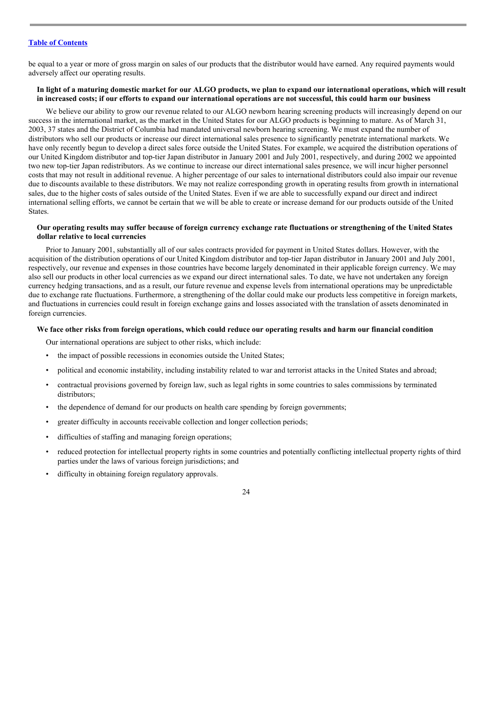be equal to a year or more of gross margin on sales of our products that the distributor would have earned. Any required payments would adversely affect our operating results.

#### In light of a maturing domestic market for our ALGO products, we plan to expand our international operations, which will result in increased costs; if our efforts to expand our international operations are not successful, this could harm our business

We believe our ability to grow our revenue related to our ALGO newborn hearing screening products will increasingly depend on our success in the international market, as the market in the United States for our ALGO products is beginning to mature. As of March 31, 2003, 37 states and the District of Columbia had mandated universal newborn hearing screening. We must expand the number of distributors who sell our products or increase our direct international sales presence to significantly penetrate international markets. We have only recently begun to develop a direct sales force outside the United States. For example, we acquired the distribution operations of our United Kingdom distributor and top-tier Japan distributor in January 2001 and July 2001, respectively, and during 2002 we appointed two new top-tier Japan redistributors. As we continue to increase our direct international sales presence, we will incur higher personnel costs that may not result in additional revenue. A higher percentage of our sales to international distributors could also impair our revenue due to discounts available to these distributors. We may not realize corresponding growth in operating results from growth in international sales, due to the higher costs of sales outside of the United States. Even if we are able to successfully expand our direct and indirect international selling efforts, we cannot be certain that we will be able to create or increase demand for our products outside of the United States.

#### Our operating results may suffer because of foreign currency exchange rate fluctuations or strengthening of the United States **dollar relative to local currencies**

Prior to January 2001, substantially all of our sales contracts provided for payment in United States dollars. However, with the acquisition of the distribution operations of our United Kingdom distributor and top-tier Japan distributor in January 2001 and July 2001, respectively, our revenue and expenses in those countries have become largely denominated in their applicable foreign currency. We may also sell our products in other local currencies as we expand our direct international sales. To date, we have not undertaken any foreign currency hedging transactions, and as a result, our future revenue and expense levels from international operations may be unpredictable due to exchange rate fluctuations. Furthermore, a strengthening of the dollar could make our products less competitive in foreign markets, and fluctuations in currencies could result in foreign exchange gains and losses associated with the translation of assets denominated in foreign currencies.

#### We face other risks from foreign operations, which could reduce our operating results and harm our financial condition

Our international operations are subject to other risks, which include:

- the impact of possible recessions in economies outside the United States;
- political and economic instability, including instability related to war and terrorist attacks in the United States and abroad;
- contractual provisions governed by foreign law, such as legal rights in some countries to sales commissions by terminated distributors;
- the dependence of demand for our products on health care spending by foreign governments;
- greater difficulty in accounts receivable collection and longer collection periods;
- difficulties of staffing and managing foreign operations;
- reduced protection for intellectual property rights in some countries and potentially conflicting intellectual property rights of third parties under the laws of various foreign jurisdictions; and
- difficulty in obtaining foreign regulatory approvals.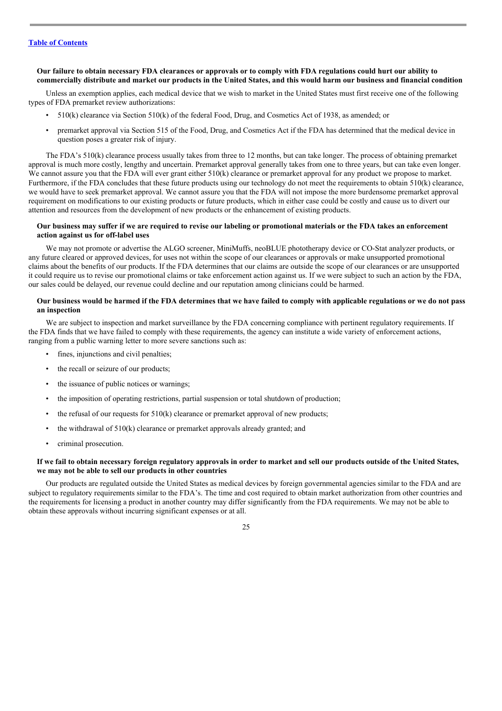#### Our failure to obtain necessary FDA clearances or approvals or to comply with FDA regulations could hurt our ability to commercially distribute and market our products in the United States, and this would harm our business and financial condition

Unless an exemption applies, each medical device that we wish to market in the United States must first receive one of the following types of FDA premarket review authorizations:

- 510(k) clearance via Section 510(k) of the federal Food, Drug, and Cosmetics Act of 1938, as amended; or
- premarket approval via Section 515 of the Food, Drug, and Cosmetics Act if the FDA has determined that the medical device in question poses a greater risk of injury.

The FDA's 510(k) clearance process usually takes from three to 12 months, but can take longer. The process of obtaining premarket approval is much more costly, lengthy and uncertain. Premarket approval generally takes from one to three years, but can take even longer. We cannot assure you that the FDA will ever grant either  $510(k)$  clearance or premarket approval for any product we propose to market. Furthermore, if the FDA concludes that these future products using our technology do not meet the requirements to obtain 510(k) clearance, we would have to seek premarket approval. We cannot assure you that the FDA will not impose the more burdensome premarket approval requirement on modifications to our existing products or future products, which in either case could be costly and cause us to divert our attention and resources from the development of new products or the enhancement of existing products.

#### Our business may suffer if we are required to revise our labeling or promotional materials or the FDA takes an enforcement **action against us for off-label uses**

We may not promote or advertise the ALGO screener, MiniMuffs, neoBLUE phototherapy device or CO-Stat analyzer products, or any future cleared or approved devices, for uses not within the scope of our clearances or approvals or make unsupported promotional claims about the benefits of our products. If the FDA determines that our claims are outside the scope of our clearances or are unsupported it could require us to revise our promotional claims or take enforcement action against us. If we were subject to such an action by the FDA, our sales could be delayed, our revenue could decline and our reputation among clinicians could be harmed.

## Our business would be harmed if the FDA determines that we have failed to comply with applicable regulations or we do not pass **an inspection**

We are subject to inspection and market surveillance by the FDA concerning compliance with pertinent regulatory requirements. If the FDA finds that we have failed to comply with these requirements, the agency can institute a wide variety of enforcement actions, ranging from a public warning letter to more severe sanctions such as:

- fines, injunctions and civil penalties;
- the recall or seizure of our products;
- the issuance of public notices or warnings;
- the imposition of operating restrictions, partial suspension or total shutdown of production;
- the refusal of our requests for  $510(k)$  clearance or premarket approval of new products;
- the withdrawal of  $510(k)$  clearance or premarket approvals already granted; and
- criminal prosecution.

#### If we fail to obtain necessary foreign regulatory approvals in order to market and sell our products outside of the United States, **we may not be able to sell our products in other countries**

Our products are regulated outside the United States as medical devices by foreign governmental agencies similar to the FDA and are subject to regulatory requirements similar to the FDA's. The time and cost required to obtain market authorization from other countries and the requirements for licensing a product in another country may differ significantly from the FDA requirements. We may not be able to obtain these approvals without incurring significant expenses or at all.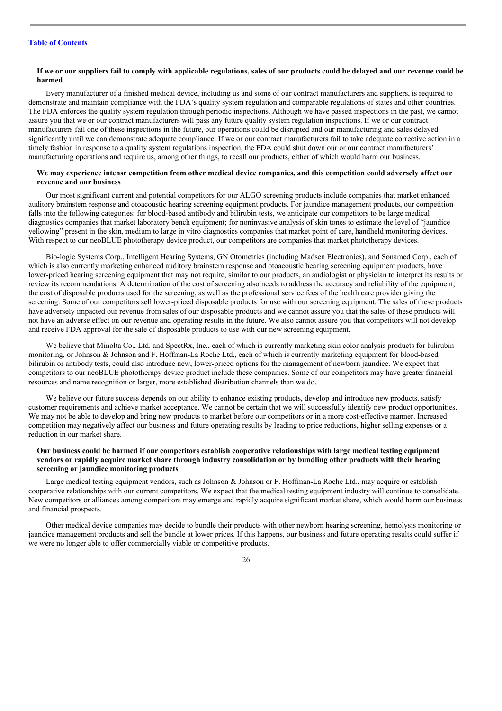## If we or our suppliers fail to comply with applicable regulations, sales of our products could be delayed and our revenue could be **harmed**

Every manufacturer of a finished medical device, including us and some of our contract manufacturers and suppliers, is required to demonstrate and maintain compliance with the FDA's quality system regulation and comparable regulations of states and other countries. The FDA enforces the quality system regulation through periodic inspections. Although we have passed inspections in the past, we cannot assure you that we or our contract manufacturers will pass any future quality system regulation inspections. If we or our contract manufacturers fail one of these inspections in the future, our operations could be disrupted and our manufacturing and sales delayed significantly until we can demonstrate adequate compliance. If we or our contract manufacturers fail to take adequate corrective action in a timely fashion in response to a quality system regulations inspection, the FDA could shut down our or our contract manufacturers' manufacturing operations and require us, among other things, to recall our products, either of which would harm our business.

#### We may experience intense competition from other medical device companies, and this competition could adversely affect our **revenue and our business**

Our most significant current and potential competitors for our ALGO screening products include companies that market enhanced auditory brainstem response and otoacoustic hearing screening equipment products. For jaundice management products, our competition falls into the following categories: for blood-based antibody and bilirubin tests, we anticipate our competitors to be large medical diagnostics companies that market laboratory bench equipment; for noninvasive analysis of skin tones to estimate the level of "jaundice yellowing" present in the skin, medium to large in vitro diagnostics companies that market point of care, handheld monitoring devices. With respect to our neoBLUE phototherapy device product, our competitors are companies that market phototherapy devices.

Bio-logic Systems Corp., Intelligent Hearing Systems, GN Otometrics (including Madsen Electronics), and Sonamed Corp., each of which is also currently marketing enhanced auditory brainstem response and otoacoustic hearing screening equipment products, have lower-priced hearing screening equipment that may not require, similar to our products, an audiologist or physician to interpret its results or review its recommendations. A determination of the cost of screening also needs to address the accuracy and reliability of the equipment, the cost of disposable products used for the screening, as well as the professional service fees of the health care provider giving the screening. Some of our competitors sell lower-priced disposable products for use with our screening equipment. The sales of these products have adversely impacted our revenue from sales of our disposable products and we cannot assure you that the sales of these products will not have an adverse effect on our revenue and operating results in the future. We also cannot assure you that competitors will not develop and receive FDA approval for the sale of disposable products to use with our new screening equipment.

We believe that Minolta Co., Ltd. and SpectRx, Inc., each of which is currently marketing skin color analysis products for bilirubin monitoring, or Johnson & Johnson and F. Hoffman-La Roche Ltd., each of which is currently marketing equipment for blood-based bilirubin or antibody tests, could also introduce new, lower-priced options for the management of newborn jaundice. We expect that competitors to our neoBLUE phototherapy device product include these companies. Some of our competitors may have greater financial resources and name recognition or larger, more established distribution channels than we do.

We believe our future success depends on our ability to enhance existing products, develop and introduce new products, satisfy customer requirements and achieve market acceptance. We cannot be certain that we will successfully identify new product opportunities. We may not be able to develop and bring new products to market before our competitors or in a more cost-effective manner. Increased competition may negatively affect our business and future operating results by leading to price reductions, higher selling expenses or a reduction in our market share.

#### Our business could be harmed if our competitors establish cooperative relationships with large medical testing equipment vendors or rapidly acquire market share through industry consolidation or by bundling other products with their hearing **screening or jaundice monitoring products**

Large medical testing equipment vendors, such as Johnson & Johnson or F. Hoffman-La Roche Ltd., may acquire or establish cooperative relationships with our current competitors. We expect that the medical testing equipment industry will continue to consolidate. New competitors or alliances among competitors may emerge and rapidly acquire significant market share, which would harm our business and financial prospects.

Other medical device companies may decide to bundle their products with other newborn hearing screening, hemolysis monitoring or jaundice management products and sell the bundle at lower prices. If this happens, our business and future operating results could suffer if we were no longer able to offer commercially viable or competitive products.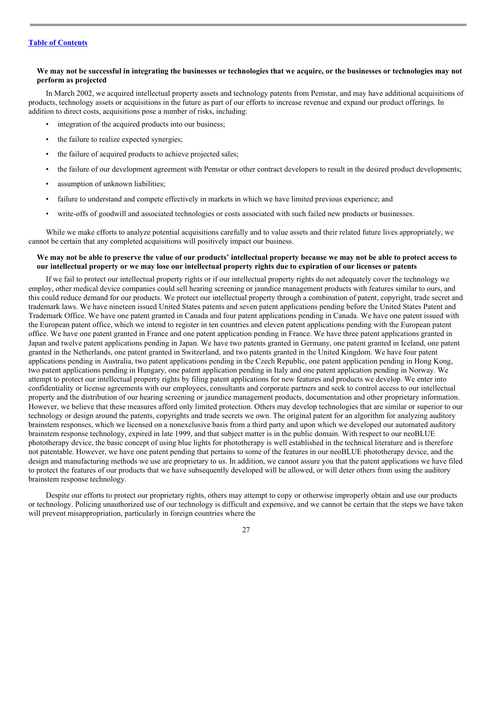## We may not be successful in integrating the businesses or technologies that we acquire, or the businesses or technologies may not **perform as projected**

In March 2002, we acquired intellectual property assets and technology patents from Pemstar, and may have additional acquisitions of products, technology assets or acquisitions in the future as part of our efforts to increase revenue and expand our product offerings. In addition to direct costs, acquisitions pose a number of risks, including:

- integration of the acquired products into our business;
- the failure to realize expected synergies;
- the failure of acquired products to achieve projected sales;
- the failure of our development agreement with Pemstar or other contract developers to result in the desired product developments;
- assumption of unknown liabilities;
- failure to understand and compete effectively in markets in which we have limited previous experience; and
- write-offs of goodwill and associated technologies or costs associated with such failed new products or businesses.

While we make efforts to analyze potential acquisitions carefully and to value assets and their related future lives appropriately, we cannot be certain that any completed acquisitions will positively impact our business.

#### We may not be able to preserve the value of our products' intellectual property because we may not be able to protect access to our intellectual property or we may lose our intellectual property rights due to expiration of our licenses or patents

If we fail to protect our intellectual property rights or if our intellectual property rights do not adequately cover the technology we employ, other medical device companies could sell hearing screening or jaundice management products with features similar to ours, and this could reduce demand for our products. We protect our intellectual property through a combination of patent, copyright, trade secret and trademark laws. We have nineteen issued United States patents and seven patent applications pending before the United States Patent and Trademark Office. We have one patent granted in Canada and four patent applications pending in Canada. We have one patent issued with the European patent office, which we intend to register in ten countries and eleven patent applications pending with the European patent office. We have one patent granted in France and one patent application pending in France. We have three patent applications granted in Japan and twelve patent applications pending in Japan. We have two patents granted in Germany, one patent granted in Iceland, one patent granted in the Netherlands, one patent granted in Switzerland, and two patents granted in the United Kingdom. We have four patent applications pending in Australia, two patent applications pending in the Czech Republic, one patent application pending in Hong Kong, two patent applications pending in Hungary, one patent application pending in Italy and one patent application pending in Norway. We attempt to protect our intellectual property rights by filing patent applications for new features and products we develop. We enter into confidentiality or license agreements with our employees, consultants and corporate partners and seek to control access to our intellectual property and the distribution of our hearing screening or jaundice management products, documentation and other proprietary information. However, we believe that these measures afford only limited protection. Others may develop technologies that are similar or superior to our technology or design around the patents, copyrights and trade secrets we own. The original patent for an algorithm for analyzing auditory brainstem responses, which we licensed on a nonexclusive basis from a third party and upon which we developed our automated auditory brainstem response technology, expired in late 1999, and that subject matter is in the public domain. With respect to our neoBLUE phototherapy device, the basic concept of using blue lights for phototherapy is well established in the technical literature and is therefore not patentable. However, we have one patent pending that pertains to some of the features in our neoBLUE phototherapy device, and the design and manufacturing methods we use are proprietary to us. In addition, we cannot assure you that the patent applications we have filed to protect the features of our products that we have subsequently developed will be allowed, or will deter others from using the auditory brainstem response technology.

Despite our efforts to protect our proprietary rights, others may attempt to copy or otherwise improperly obtain and use our products or technology. Policing unauthorized use of our technology is difficult and expensive, and we cannot be certain that the steps we have taken will prevent misappropriation, particularly in foreign countries where the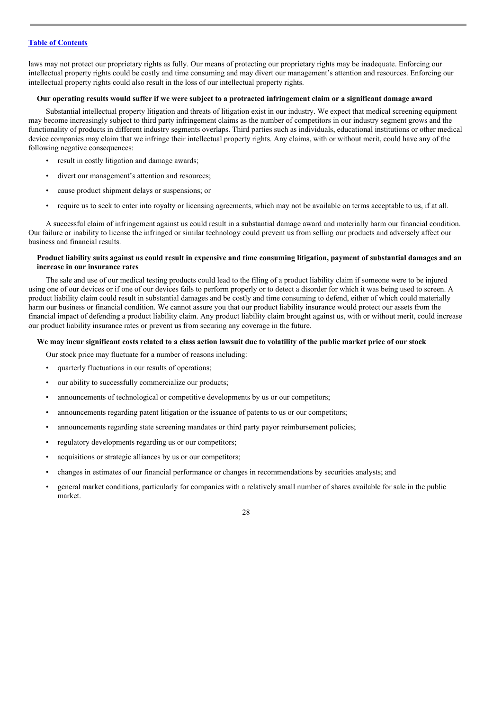laws may not protect our proprietary rights as fully. Our means of protecting our proprietary rights may be inadequate. Enforcing our intellectual property rights could be costly and time consuming and may divert our management's attention and resources. Enforcing our intellectual property rights could also result in the loss of our intellectual property rights.

#### Our operating results would suffer if we were subject to a protracted infringement claim or a significant damage award

Substantial intellectual property litigation and threats of litigation exist in our industry. We expect that medical screening equipment may become increasingly subject to third party infringement claims as the number of competitors in our industry segment grows and the functionality of products in different industry segments overlaps. Third parties such as individuals, educational institutions or other medical device companies may claim that we infringe their intellectual property rights. Any claims, with or without merit, could have any of the following negative consequences:

- result in costly litigation and damage awards;
- divert our management's attention and resources;
- cause product shipment delays or suspensions; or
- require us to seek to enter into royalty or licensing agreements, which may not be available on terms acceptable to us, if at all.

A successful claim of infringement against us could result in a substantial damage award and materially harm our financial condition. Our failure or inability to license the infringed or similar technology could prevent us from selling our products and adversely affect our business and financial results.

#### Product liability suits against us could result in expensive and time consuming litigation, payment of substantial damages and an **increase in our insurance rates**

The sale and use of our medical testing products could lead to the filing of a product liability claim if someone were to be injured using one of our devices or if one of our devices fails to perform properly or to detect a disorder for which it was being used to screen. A product liability claim could result in substantial damages and be costly and time consuming to defend, either of which could materially harm our business or financial condition. We cannot assure you that our product liability insurance would protect our assets from the financial impact of defending a product liability claim. Any product liability claim brought against us, with or without merit, could increase our product liability insurance rates or prevent us from securing any coverage in the future.

#### We may incur significant costs related to a class action lawsuit due to volatility of the public market price of our stock

Our stock price may fluctuate for a number of reasons including:

- quarterly fluctuations in our results of operations;
- our ability to successfully commercialize our products;
- announcements of technological or competitive developments by us or our competitors;
- announcements regarding patent litigation or the issuance of patents to us or our competitors;
- announcements regarding state screening mandates or third party payor reimbursement policies;
- regulatory developments regarding us or our competitors;
- acquisitions or strategic alliances by us or our competitors;
- changes in estimates of our financial performance or changes in recommendations by securities analysts; and
- general market conditions, particularly for companies with a relatively small number of shares available for sale in the public market.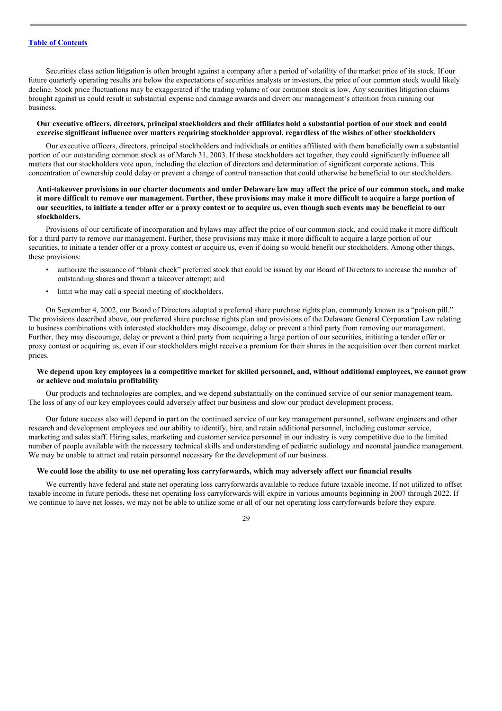Securities class action litigation is often brought against a company after a period of volatility of the market price of its stock. If our future quarterly operating results are below the expectations of securities analysts or investors, the price of our common stock would likely decline. Stock price fluctuations may be exaggerated if the trading volume of our common stock is low. Any securities litigation claims brought against us could result in substantial expense and damage awards and divert our management's attention from running our business.

## Our executive officers, directors, principal stockholders and their affiliates hold a substantial portion of our stock and could exercise significant influence over matters requiring stockholder approval, regardless of the wishes of other stockholders

Our executive officers, directors, principal stockholders and individuals or entities affiliated with them beneficially own a substantial portion of our outstanding common stock as of March 31, 2003. If these stockholders act together, they could significantly influence all matters that our stockholders vote upon, including the election of directors and determination of significant corporate actions. This concentration of ownership could delay or prevent a change of control transaction that could otherwise be beneficial to our stockholders.

### Anti-takeover provisions in our charter documents and under Delaware law may affect the price of our common stock, and make it more difficult to remove our management. Further, these provisions may make it more difficult to acquire a large portion of our securities, to initiate a tender offer or a proxy contest or to acquire us, even though such events may be beneficial to our **stockholders.**

Provisions of our certificate of incorporation and bylaws may affect the price of our common stock, and could make it more difficult for a third party to remove our management. Further, these provisions may make it more difficult to acquire a large portion of our securities, to initiate a tender offer or a proxy contest or acquire us, even if doing so would benefit our stockholders. Among other things, these provisions:

- authorize the issuance of "blank check" preferred stock that could be issued by our Board of Directors to increase the number of outstanding shares and thwart a takeover attempt; and
- limit who may call a special meeting of stockholders.

On September 4, 2002, our Board of Directors adopted a preferred share purchase rights plan, commonly known as a "poison pill." The provisions described above, our preferred share purchase rights plan and provisions of the Delaware General Corporation Law relating to business combinations with interested stockholders may discourage, delay or prevent a third party from removing our management. Further, they may discourage, delay or prevent a third party from acquiring a large portion of our securities, initiating a tender offer or proxy contest or acquiring us, even if our stockholders might receive a premium for their shares in the acquisition over then current market prices.

#### We depend upon key employees in a competitive market for skilled personnel, and, without additional employees, we cannot grow **or achieve and maintain profitability**

Our products and technologies are complex, and we depend substantially on the continued service of our senior management team. The loss of any of our key employees could adversely affect our business and slow our product development process.

Our future success also will depend in part on the continued service of our key management personnel, software engineers and other research and development employees and our ability to identify, hire, and retain additional personnel, including customer service, marketing and sales staff. Hiring sales, marketing and customer service personnel in our industry is very competitive due to the limited number of people available with the necessary technical skills and understanding of pediatric audiology and neonatal jaundice management. We may be unable to attract and retain personnel necessary for the development of our business.

### We could lose the ability to use net operating loss carryforwards, which may adversely affect our financial results

We currently have federal and state net operating loss carryforwards available to reduce future taxable income. If not utilized to offset taxable income in future periods, these net operating loss carryforwards will expire in various amounts beginning in 2007 through 2022. If we continue to have net losses, we may not be able to utilize some or all of our net operating loss carryforwards before they expire.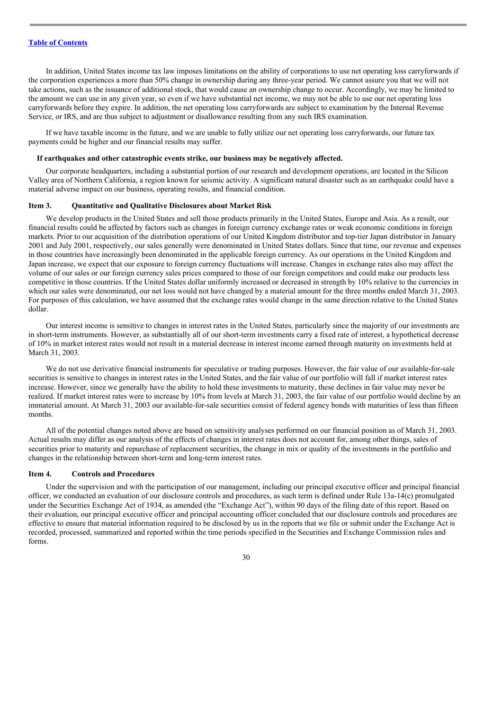In addition, United States income tax law imposes limitations on the ability of corporations to use net operating loss carryforwards if the corporation experiences a more than 50% change in ownership during any three-year period. We cannot assure you that we will not take actions, such as the issuance of additional stock, that would cause an ownership change to occur. Accordingly, we may be limited to the amount we can use in any given year, so even if we have substantial net income, we may not be able to use our net operating loss carryforwards before they expire. In addition, the net operating loss carryforwards are subject to examination by the Internal Revenue Service, or IRS, and are thus subject to adjustment or disallowance resulting from any such IRS examination.

If we have taxable income in the future, and we are unable to fully utilize our net operating loss carryforwards, our future tax payments could be higher and our financial results may suffer.

#### **If earthquakes and other catastrophic events strike, our business may be negatively affected.**

Our corporate headquarters, including a substantial portion of our research and development operations, are located in the Silicon Valley area of Northern California, a region known for seismic activity. A significant natural disaster such as an earthquake could have a material adverse impact on our business, operating results, and financial condition.

#### **Item 3. Quantitative and Qualitative Disclosures about Market Risk**

We develop products in the United States and sell those products primarily in the United States, Europe and Asia. As a result, our financial results could be affected by factors such as changes in foreign currency exchange rates or weak economic conditions in foreign markets. Prior to our acquisition of the distribution operations of our United Kingdom distributor and top-tier Japan distributor in January 2001 and July 2001, respectively, our sales generally were denominated in United States dollars. Since that time, our revenue and expenses in those countries have increasingly been denominated in the applicable foreign currency. As our operations in the United Kingdom and Japan increase, we expect that our exposure to foreign currency fluctuations will increase. Changes in exchange rates also may affect the volume of our sales or our foreign currency sales prices compared to those of our foreign competitors and could make our products less competitive in those countries. If the United States dollar uniformly increased or decreased in strength by 10% relative to the currencies in which our sales were denominated, our net loss would not have changed by a material amount for the three months ended March 31, 2003. For purposes of this calculation, we have assumed that the exchange rates would change in the same direction relative to the United States dollar.

Our interest income is sensitive to changes in interest rates in the United States, particularly since the majority of our investments are in short-term instruments. However, as substantially all of our short-term investments carry a fixed rate of interest, a hypothetical decrease of 10% in market interest rates would not result in a material decrease in interest income earned through maturity on investments held at March 31, 2003.

We do not use derivative financial instruments for speculative or trading purposes. However, the fair value of our available-for-sale securities is sensitive to changes in interest rates in the United States, and the fair value of our portfolio will fall if market interest rates increase. However, since we generally have the ability to hold these investments to maturity, these declines in fair value may never be realized. If market interest rates were to increase by 10% from levels at March 31, 2003, the fair value of our portfolio would decline by an immaterial amount. At March 31, 2003 our available-for-sale securities consist of federal agency bonds with maturities of less than fifteen months.

All of the potential changes noted above are based on sensitivity analyses performed on our financial position as of March 31, 2003. Actual results may differ as our analysis of the effects of changes in interest rates does not account for, among other things, sales of securities prior to maturity and repurchase of replacement securities, the change in mix or quality of the investments in the portfolio and changes in the relationship between short-term and long-term interest rates.

#### **Item 4. Controls and Procedures**

Under the supervision and with the participation of our management, including our principal executive officer and principal financial officer, we conducted an evaluation of our disclosure controls and procedures, as such term is defined under Rule 13a-14(c) promulgated under the Securities Exchange Act of 1934, as amended (the "Exchange Act"), within 90 days of the filing date of this report. Based on their evaluation, our principal executive officer and principal accounting officer concluded that our disclosure controls and procedures are effective to ensure that material information required to be disclosed by us in the reports that we file or submit under the Exchange Act is recorded, processed, summarized and reported within the time periods specified in the Securities and Exchange Commission rules and forms.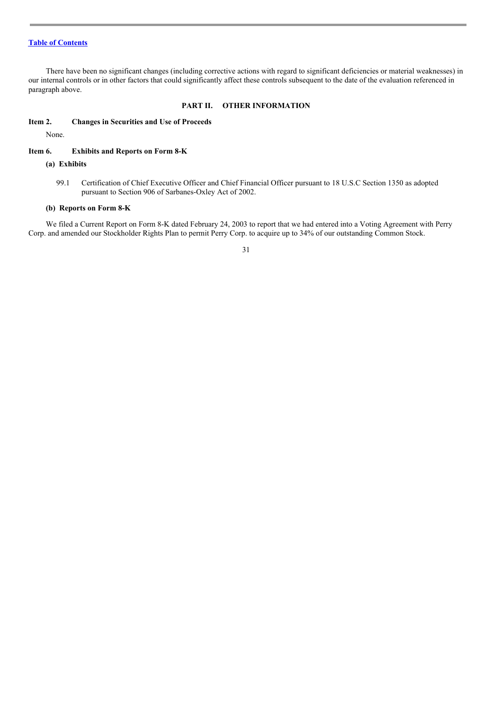There have been no significant changes (including corrective actions with regard to significant deficiencies or material weaknesses) in our internal controls or in other factors that could significantly affect these controls subsequent to the date of the evaluation referenced in paragraph above.

#### <span id="page-30-0"></span>**PART II. OTHER INFORMATION**

#### **Item 2. Changes in Securities and Use of Proceeds**

None.

#### **Item 6. Exhibits and Reports on Form 8-K**

**(a) Exhibits**

99.1 Certification of Chief Executive Officer and Chief Financial Officer pursuant to 18 U.S.C Section 1350 as adopted pursuant to Section 906 of Sarbanes-Oxley Act of 2002.

#### **(b) Reports on Form 8-K**

We filed a Current Report on Form 8-K dated February 24, 2003 to report that we had entered into a Voting Agreement with Perry Corp. and amended our Stockholder Rights Plan to permit Perry Corp. to acquire up to 34% of our outstanding Common Stock.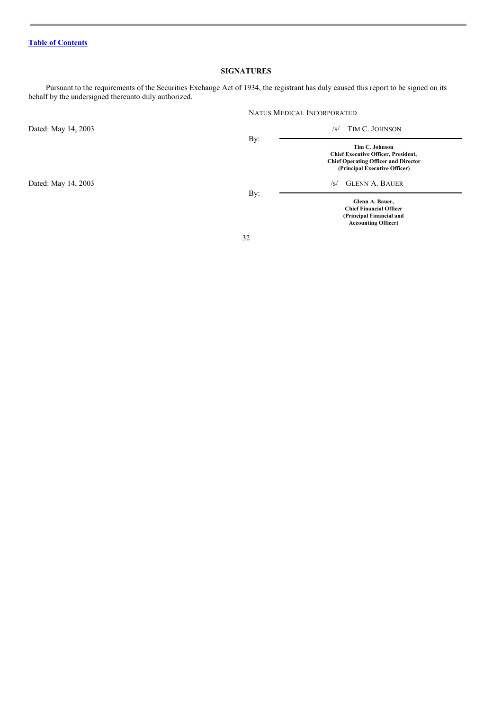## **SIGNATURES**

By:

By:

Pursuant to the requirements of the Securities Exchange Act of 1934, the registrant has duly caused this report to be signed on its behalf by the undersigned thereunto duly authorized.

NATUS MEDICAL INCORPORATED

Dated: May 14, 2003

Dated: May 14, 2003

**Tim C. Johnson Chief Executive Officer, President, Chief Operating Officer and Director**

/s/ TIM C. JOHNSON

/s/ GLENN A. BAUER

**(Principal Executive Officer)**

**Glenn A. Bauer, Chief Financial Officer (Principal Financial and Accounting Officer)**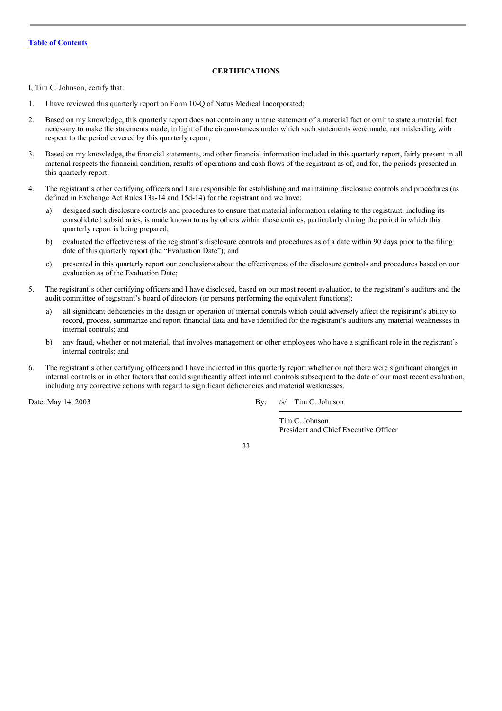## **CERTIFICATIONS**

I, Tim C. Johnson, certify that:

- 1. I have reviewed this quarterly report on Form 10-Q of Natus Medical Incorporated;
- 2. Based on my knowledge, this quarterly report does not contain any untrue statement of a material fact or omit to state a material fact necessary to make the statements made, in light of the circumstances under which such statements were made, not misleading with respect to the period covered by this quarterly report;
- 3. Based on my knowledge, the financial statements, and other financial information included in this quarterly report, fairly present in all material respects the financial condition, results of operations and cash flows of the registrant as of, and for, the periods presented in this quarterly report;
- 4. The registrant's other certifying officers and I are responsible for establishing and maintaining disclosure controls and procedures (as defined in Exchange Act Rules 13a-14 and 15d-14) for the registrant and we have:
	- a) designed such disclosure controls and procedures to ensure that material information relating to the registrant, including its consolidated subsidiaries, is made known to us by others within those entities, particularly during the period in which this quarterly report is being prepared;
	- b) evaluated the effectiveness of the registrant's disclosure controls and procedures as of a date within 90 days prior to the filing date of this quarterly report (the "Evaluation Date"); and
	- c) presented in this quarterly report our conclusions about the effectiveness of the disclosure controls and procedures based on our evaluation as of the Evaluation Date;
- 5. The registrant's other certifying officers and I have disclosed, based on our most recent evaluation, to the registrant's auditors and the audit committee of registrant's board of directors (or persons performing the equivalent functions):
	- a) all significant deficiencies in the design or operation of internal controls which could adversely affect the registrant's ability to record, process, summarize and report financial data and have identified for the registrant's auditors any material weaknesses in internal controls; and
	- b) any fraud, whether or not material, that involves management or other employees who have a significant role in the registrant's internal controls; and
- 6. The registrant's other certifying officers and I have indicated in this quarterly report whether or not there were significant changes in internal controls or in other factors that could significantly affect internal controls subsequent to the date of our most recent evaluation, including any corrective actions with regard to significant deficiencies and material weaknesses.

Date: May 14, 2003 By: /s/ Tim C. Johnson

Tim C. Johnson President and Chief Executive Officer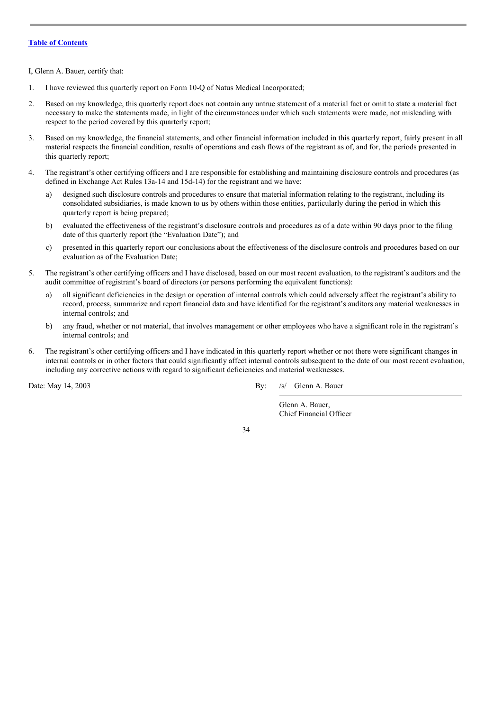I, Glenn A. Bauer, certify that:

- 1. I have reviewed this quarterly report on Form 10-Q of Natus Medical Incorporated;
- 2. Based on my knowledge, this quarterly report does not contain any untrue statement of a material fact or omit to state a material fact necessary to make the statements made, in light of the circumstances under which such statements were made, not misleading with respect to the period covered by this quarterly report;
- 3. Based on my knowledge, the financial statements, and other financial information included in this quarterly report, fairly present in all material respects the financial condition, results of operations and cash flows of the registrant as of, and for, the periods presented in this quarterly report;
- 4. The registrant's other certifying officers and I are responsible for establishing and maintaining disclosure controls and procedures (as defined in Exchange Act Rules 13a-14 and 15d-14) for the registrant and we have:
	- a) designed such disclosure controls and procedures to ensure that material information relating to the registrant, including its consolidated subsidiaries, is made known to us by others within those entities, particularly during the period in which this quarterly report is being prepared;
	- b) evaluated the effectiveness of the registrant's disclosure controls and procedures as of a date within 90 days prior to the filing date of this quarterly report (the "Evaluation Date"); and
	- c) presented in this quarterly report our conclusions about the effectiveness of the disclosure controls and procedures based on our evaluation as of the Evaluation Date;
- 5. The registrant's other certifying officers and I have disclosed, based on our most recent evaluation, to the registrant's auditors and the audit committee of registrant's board of directors (or persons performing the equivalent functions):
	- a) all significant deficiencies in the design or operation of internal controls which could adversely affect the registrant's ability to record, process, summarize and report financial data and have identified for the registrant's auditors any material weaknesses in internal controls; and
	- b) any fraud, whether or not material, that involves management or other employees who have a significant role in the registrant's internal controls; and
- 6. The registrant's other certifying officers and I have indicated in this quarterly report whether or not there were significant changes in internal controls or in other factors that could significantly affect internal controls subsequent to the date of our most recent evaluation, including any corrective actions with regard to significant deficiencies and material weaknesses.

Date: May 14, 2003 By: /s/ Glenn A. Bauer

Glenn A. Bauer, Chief Financial Officer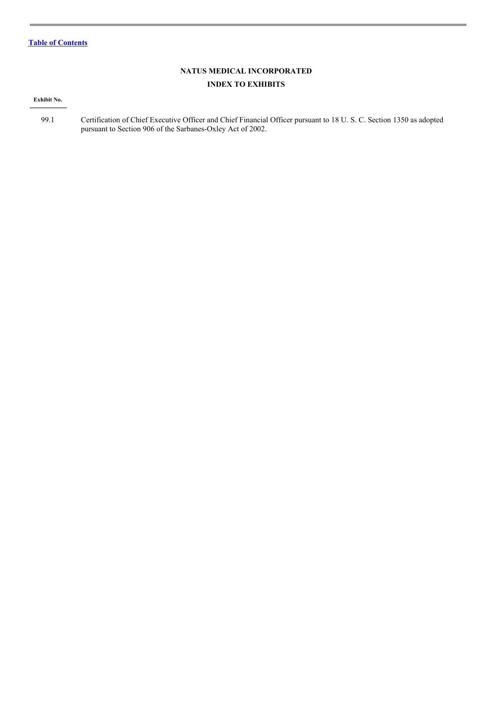# **NATUS MEDICAL INCORPORATED INDEX TO EXHIBITS**

**Exhibit No.**

99.1 Certification of Chief Executive Officer and Chief Financial Officer pursuant to 18 U. S. C. Section 1350 as adopted pursuant to Section 906 of the Sarbanes-Oxley Act of 2002.